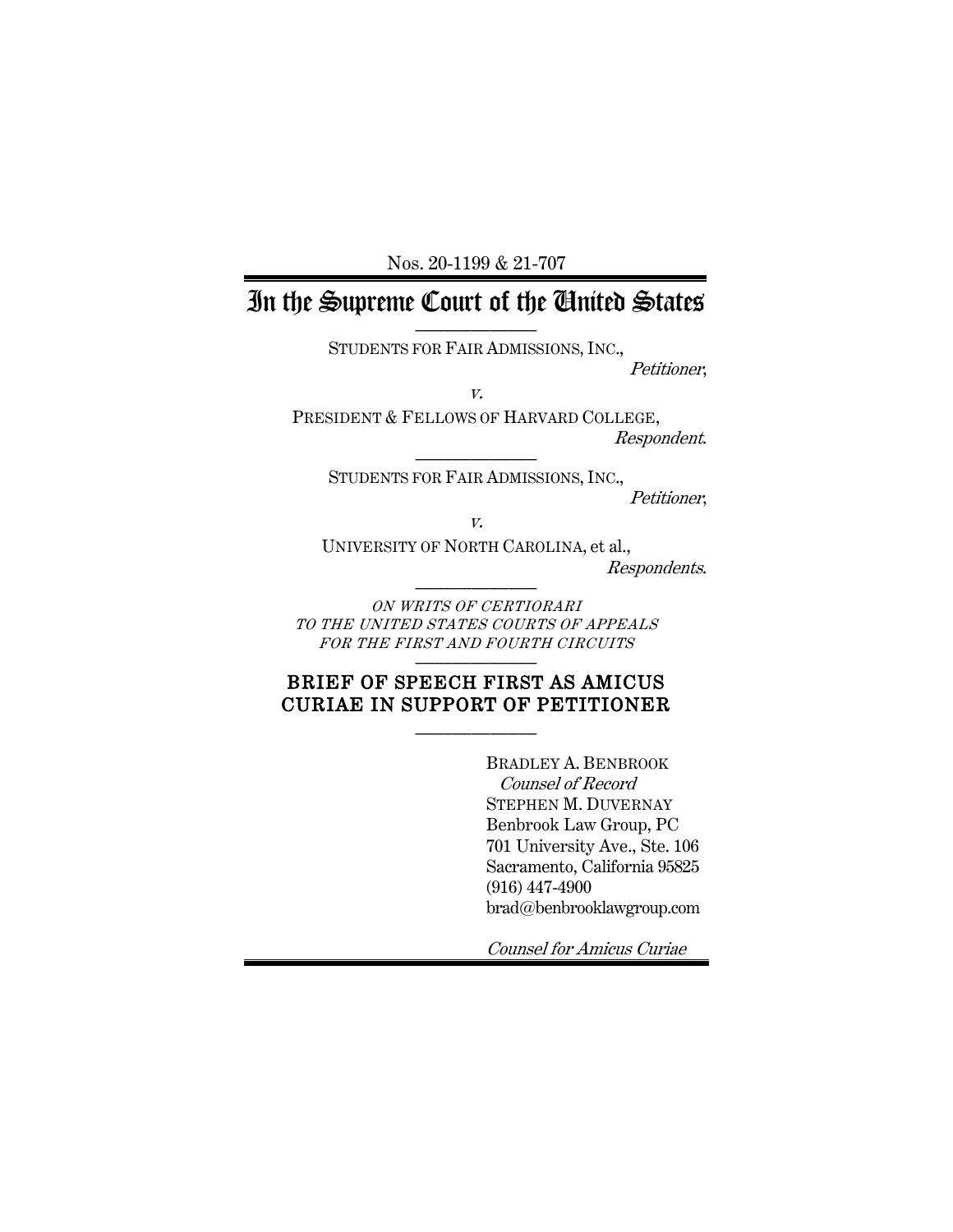Nos. 20-1199 & 21-707

# In the Supreme Court of the United States

STUDENTS FOR FAIR ADMISSIONS, INC.,

Petitioner,

v.

PRESIDENT & FELLOWS OF HARVARD COLLEGE, Respondent. \_\_\_\_\_\_\_\_\_\_\_\_\_

STUDENTS FOR FAIR ADMISSIONS, INC., Petitioner,

v.

UNIVERSITY OF NORTH CAROLINA, et al., Respondents. \_\_\_\_\_\_\_\_\_\_\_\_\_

ON WRITS OF CERTIORARI TO THE UNITED STATES COURTS OF APPEALS FOR THE FIRST AND FOURTH CIRCUITS

### BRIEF OF SPEECH FIRST AS AMICUS CURIAE IN SUPPORT OF PETITIONER  $\frac{1}{2}$

BRADLEY A. BENBROOK Counsel of Record STEPHEN M. DUVERNAY Benbrook Law Group, PC 701 University Ave., Ste. 106 Sacramento, California 95825 (916) 447-4900 brad@benbrooklawgroup.com

Counsel for Amicus Curiae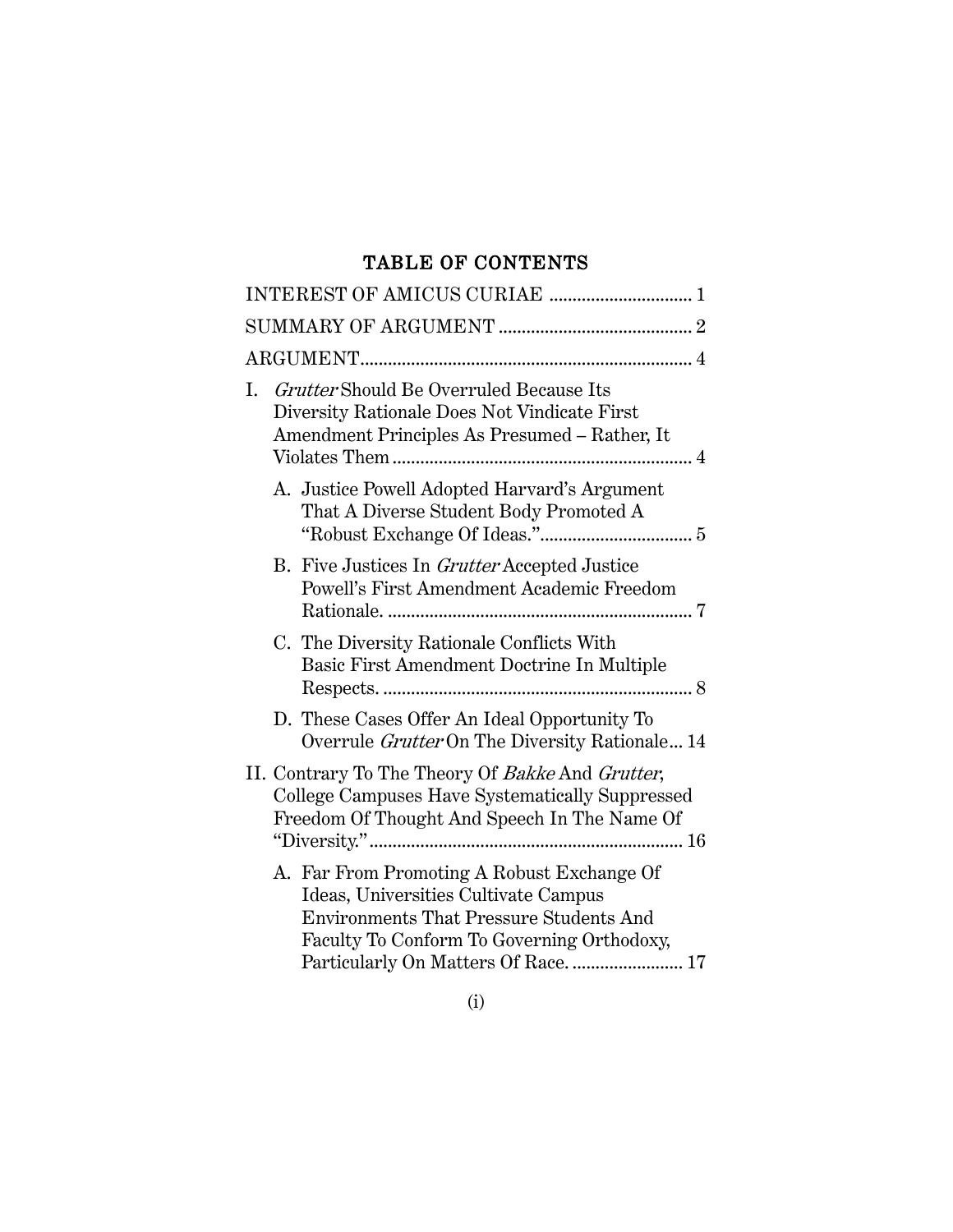# TABLE OF CONTENTS

| INTEREST OF AMICUS CURIAE  1                                                                                                                                                                                               |
|----------------------------------------------------------------------------------------------------------------------------------------------------------------------------------------------------------------------------|
|                                                                                                                                                                                                                            |
|                                                                                                                                                                                                                            |
| I. Grutter Should Be Overruled Because Its<br>Diversity Rationale Does Not Vindicate First<br>Amendment Principles As Presumed - Rather, It                                                                                |
| A. Justice Powell Adopted Harvard's Argument<br>That A Diverse Student Body Promoted A                                                                                                                                     |
| B. Five Justices In <i>Grutter</i> Accepted Justice<br>Powell's First Amendment Academic Freedom                                                                                                                           |
| C. The Diversity Rationale Conflicts With<br>Basic First Amendment Doctrine In Multiple                                                                                                                                    |
| D. These Cases Offer An Ideal Opportunity To<br>Overrule Grutter On The Diversity Rationale 14                                                                                                                             |
| II. Contrary To The Theory Of Bakke And Grutter,<br>College Campuses Have Systematically Suppressed<br>Freedom Of Thought And Speech In The Name Of                                                                        |
| A. Far From Promoting A Robust Exchange Of<br>Ideas, Universities Cultivate Campus<br><b>Environments That Pressure Students And</b><br>Faculty To Conform To Governing Orthodoxy,<br>Particularly On Matters Of Race.  17 |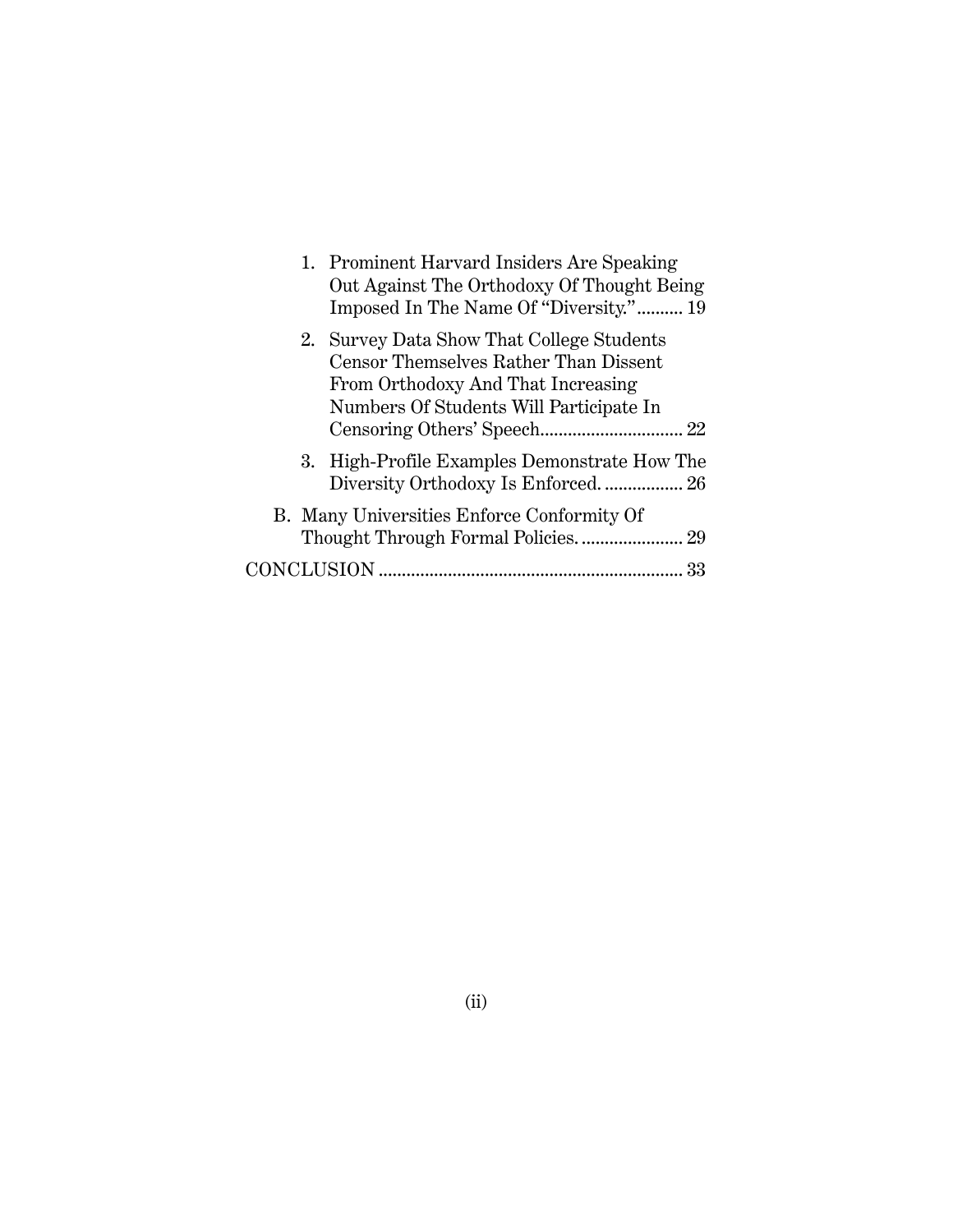| 1. Prominent Harvard Insiders Are Speaking<br>Out Against The Orthodoxy Of Thought Being<br>Imposed In The Name Of "Diversity." 19                                  |
|---------------------------------------------------------------------------------------------------------------------------------------------------------------------|
| 2. Survey Data Show That College Students<br>Censor Themselves Rather Than Dissent<br>From Orthodoxy And That Increasing<br>Numbers Of Students Will Participate In |
| 3. High-Profile Examples Demonstrate How The<br>Diversity Orthodoxy Is Enforced 26                                                                                  |
| B. Many Universities Enforce Conformity Of                                                                                                                          |
| 33                                                                                                                                                                  |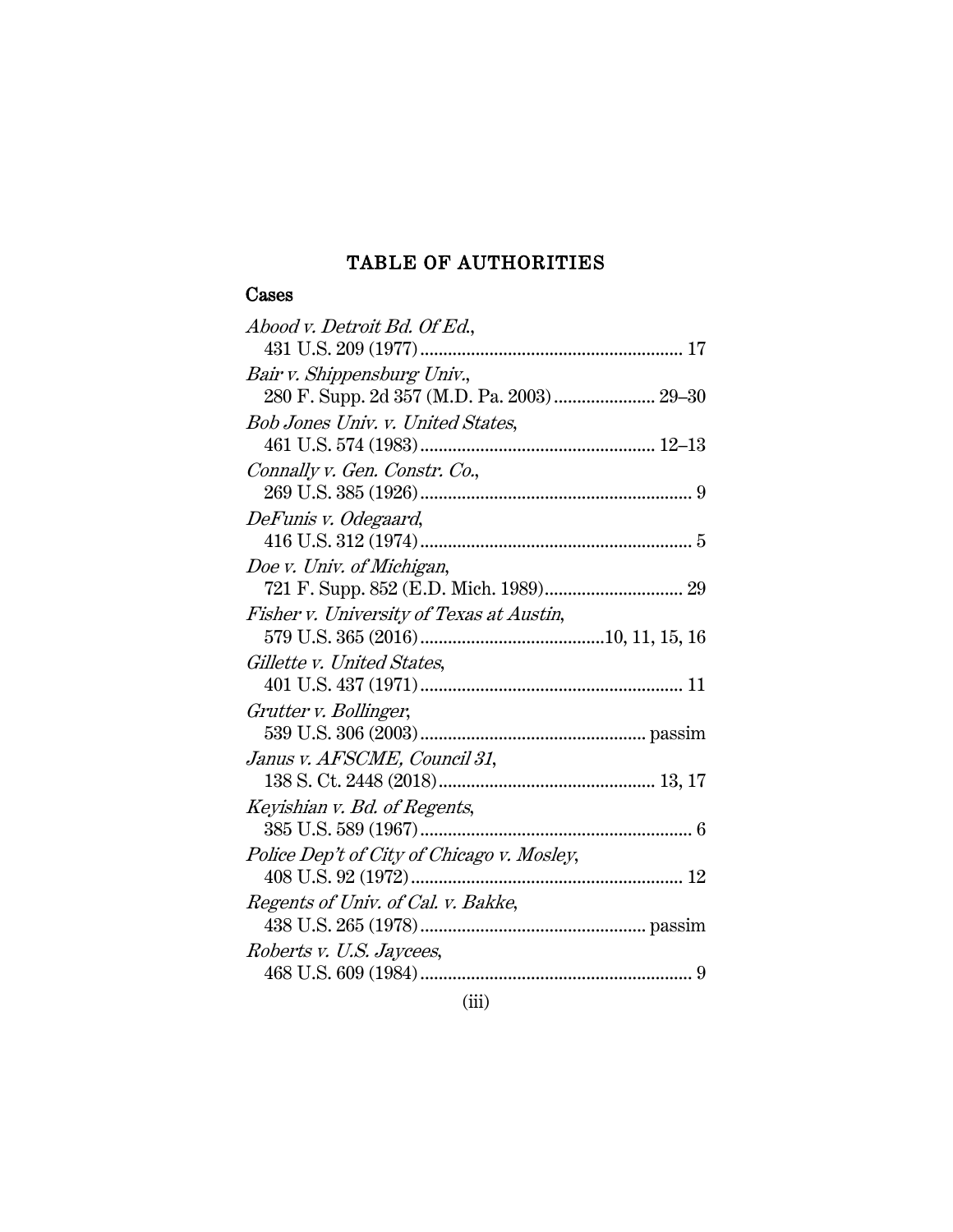# TABLE OF AUTHORITIES

## Cases

| Abood v. Detroit Bd. Of Ed.,               |
|--------------------------------------------|
|                                            |
| Bair v. Shippensburg Univ.,                |
| 280 F. Supp. 2d 357 (M.D. Pa. 2003) 29-30  |
| Bob Jones Univ. v. United States,          |
|                                            |
| Connally v. Gen. Constr. Co.,              |
|                                            |
| DeFunis v. Odegaard,                       |
|                                            |
| Doe v. Univ. of Michigan,                  |
|                                            |
| Fisher v. University of Texas at Austin,   |
|                                            |
| Gillette v. United States,                 |
|                                            |
| Grutter v. Bollinger,                      |
|                                            |
| Janus v. AFSCME, Council 31,               |
|                                            |
| Keyishian v. Bd. of Regents,               |
|                                            |
| Police Dep't of City of Chicago v. Mosley, |
|                                            |
| Regents of Univ. of Cal. v. Bakke,         |
|                                            |
| Roberts v. U.S. Jaycees,                   |
|                                            |
|                                            |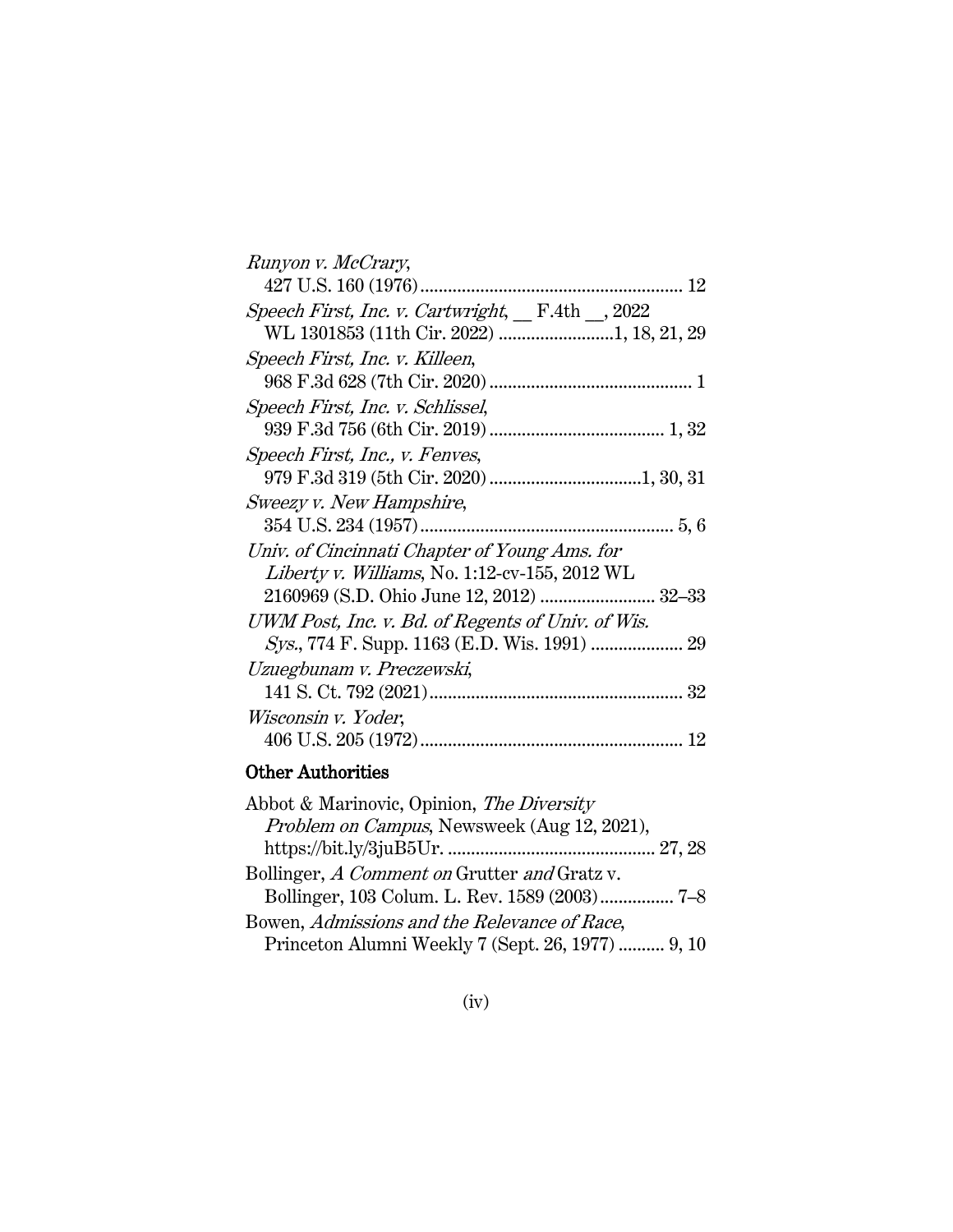| Runyon v. McCrary,                                |
|---------------------------------------------------|
| 12                                                |
| Speech First, Inc. v. Cartwright, F.4th _, 2022   |
| WL 1301853 (11th Cir. 2022) 1, 18, 21, 29         |
| Speech First, Inc. v. Killeen,                    |
|                                                   |
| Speech First, Inc. v. Schlissel,                  |
|                                                   |
| Speech First, Inc., v. Fenves,                    |
|                                                   |
| Sweezy v. New Hampshire,                          |
|                                                   |
| Univ. of Cincinnati Chapter of Young Ams. for     |
| Liberty v. Williams, No. 1:12-cv-155, 2012 WL     |
| 2160969 (S.D. Ohio June 12, 2012)  32-33          |
| UWM Post, Inc. v. Bd. of Regents of Univ. of Wis. |
|                                                   |
| Uzuegbunam v. Preczewski,                         |
|                                                   |
| Wisconsin v. Yoder,                               |
|                                                   |

## Other Authorities

| Bollinger, 103 Colum. L. Rev. 1589 (2003) 7-8     |
|---------------------------------------------------|
|                                                   |
| Princeton Alumni Weekly 7 (Sept. 26, 1977)  9, 10 |
|                                                   |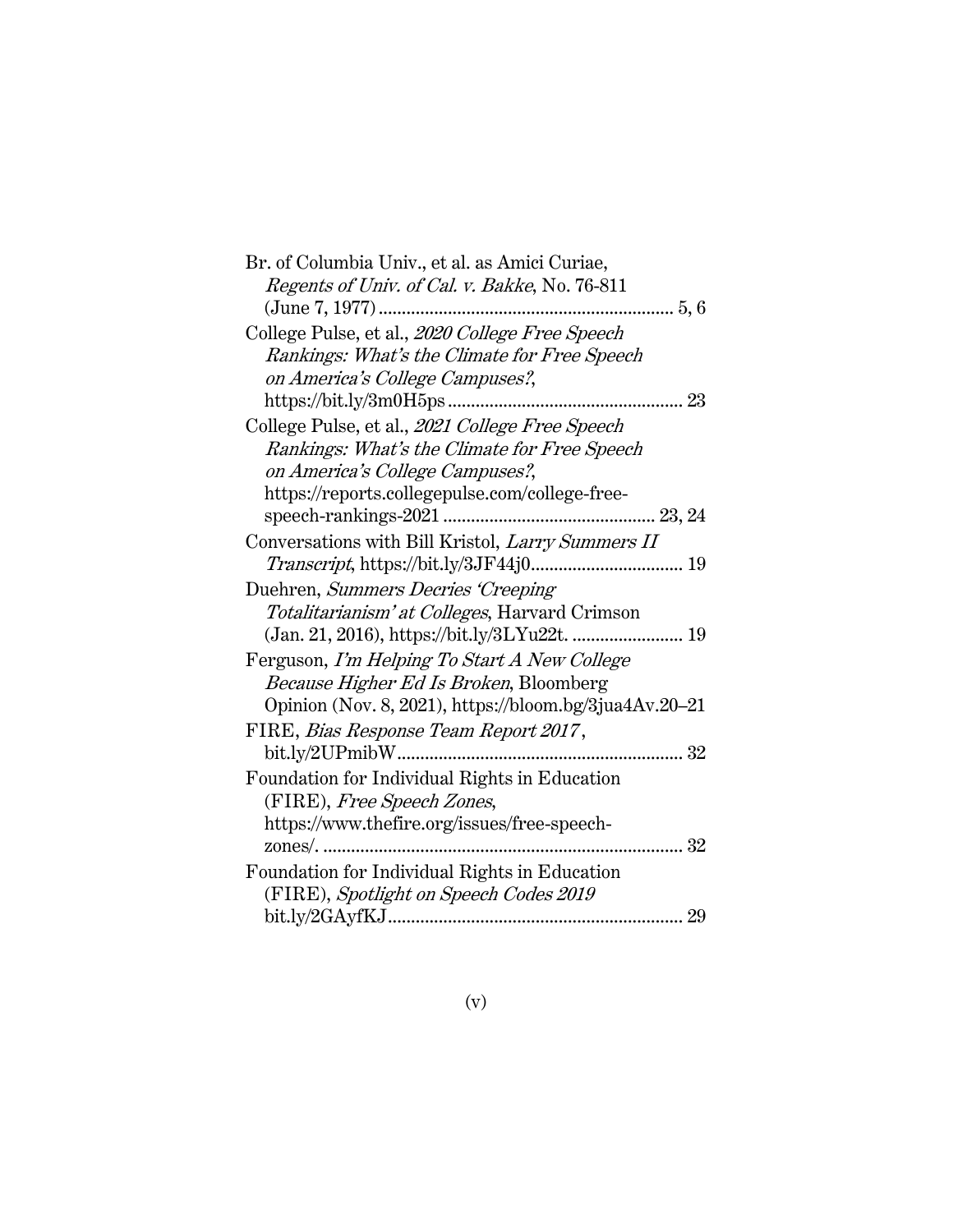| Br. of Columbia Univ., et al. as Amici Curiae,         |
|--------------------------------------------------------|
| Regents of Univ. of Cal. v. Bakke, No. 76-811          |
| (June 7, 1977)                                         |
| College Pulse, et al., 2020 College Free Speech        |
| Rankings: What's the Climate for Free Speech           |
| on America's College Campuses?,                        |
|                                                        |
| College Pulse, et al., 2021 College Free Speech        |
| Rankings: What's the Climate for Free Speech           |
| on America's College Campuses?,                        |
| https://reports.collegepulse.com/college-free-         |
|                                                        |
| Conversations with Bill Kristol, Larry Summers II      |
|                                                        |
| Duehren, Summers Decries 'Creeping'                    |
| Totalitarianism' at Colleges, Harvard Crimson          |
|                                                        |
| Ferguson, I'm Helping To Start A New College           |
| Because Higher Ed Is Broken, Bloomberg                 |
| Opinion (Nov. 8, 2021), https://bloom.bg/3jua4Av.20-21 |
| FIRE, Bias Response Team Report 2017,                  |
|                                                        |
| Foundation for Individual Rights in Education          |
| (FIRE), Free Speech Zones,                             |
| https://www.thefire.org/issues/free-speech-            |
| 32                                                     |
| Foundation for Individual Rights in Education          |
| (FIRE), Spotlight on Speech Codes 2019                 |
|                                                        |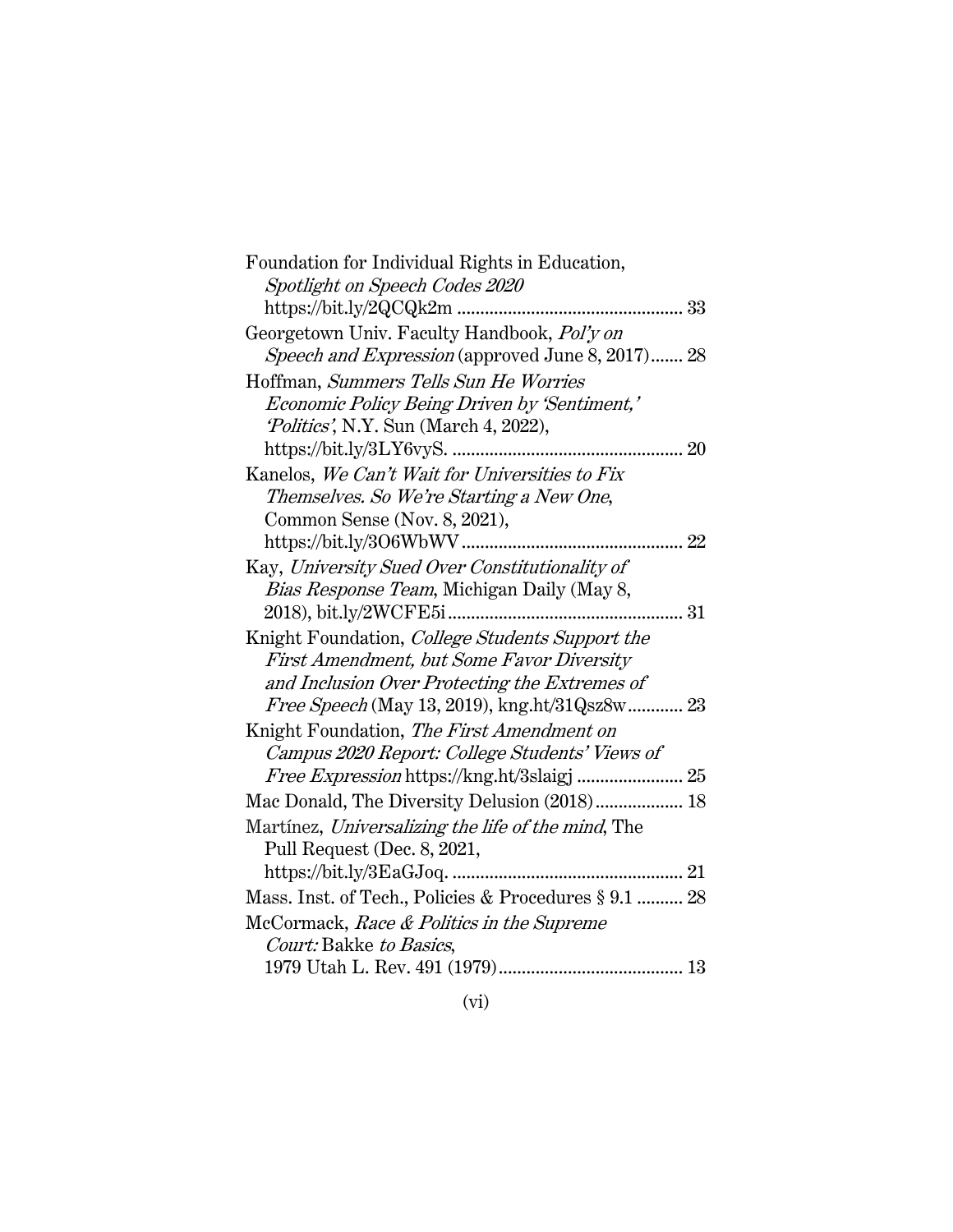| Foundation for Individual Rights in Education,          |
|---------------------------------------------------------|
| Spotlight on Speech Codes 2020                          |
|                                                         |
| Georgetown Univ. Faculty Handbook, Pol'y on             |
| <i>Speech and Expression</i> (approved June 8, 2017) 28 |
| Hoffman, Summers Tells Sun He Worries                   |
| <i>Economic Policy Being Driven by 'Sentiment,'</i>     |
| <i>Politics'</i> , N.Y. Sun (March 4, 2022),            |
|                                                         |
| Kanelos, We Can't Wait for Universities to Fix          |
| Themselves. So We're Starting a New One,                |
| Common Sense (Nov. 8, 2021),                            |
| 22                                                      |
| Kay, University Sued Over Constitutionality of          |
| Bias Response Team, Michigan Daily (May 8,              |
| 31                                                      |
| Knight Foundation, College Students Support the         |
| First Amendment, but Some Favor Diversity               |
| and Inclusion Over Protecting the Extremes of           |
| <i>Free Speech</i> (May 13, 2019), kng.ht/31Qsz8w 23    |
| Knight Foundation, The First Amendment on               |
| Campus 2020 Report: College Students' Views of          |
|                                                         |
| Mac Donald, The Diversity Delusion (2018) 18            |
| Martínez, Universalizing the life of the mind, The      |
| Pull Request (Dec. 8, 2021,                             |
|                                                         |
| Mass. Inst. of Tech., Policies & Procedures § 9.1  28   |
| McCormack, Race & Politics in the Supreme               |
| Court: Bakke to Basics,                                 |
|                                                         |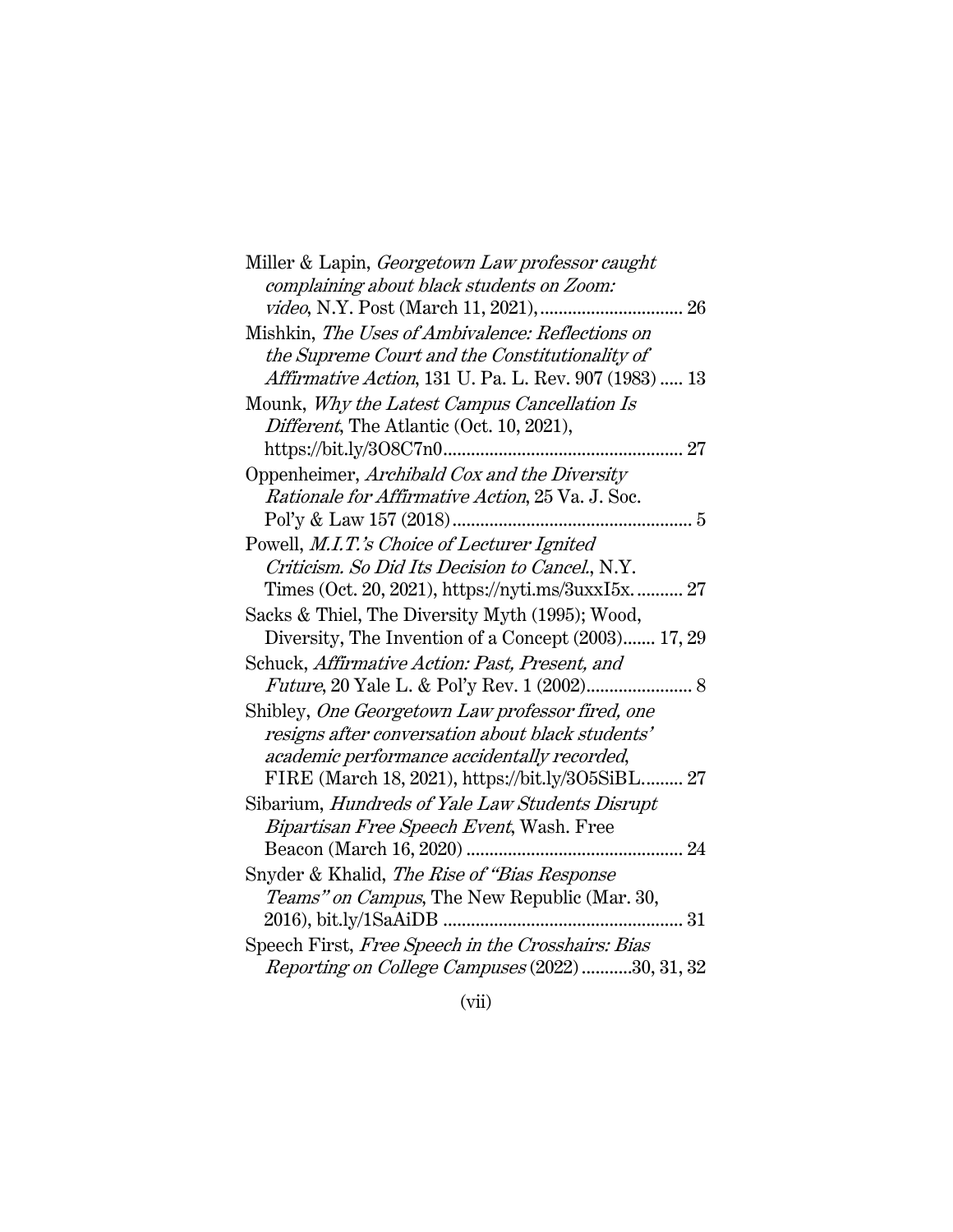| Miller & Lapin, Georgetown Law professor caught       |
|-------------------------------------------------------|
| complaining about black students on Zoom:             |
|                                                       |
| Mishkin, The Uses of Ambivalence: Reflections on      |
| the Supreme Court and the Constitutionality of        |
| Affirmative Action, 131 U. Pa. L. Rev. 907 (1983)  13 |
| Mounk, Why the Latest Campus Cancellation Is          |
| Different, The Atlantic (Oct. 10, 2021),              |
|                                                       |
| Oppenheimer, Archibald Cox and the Diversity          |
| Rationale for Affirmative Action, 25 Va. J. Soc.      |
|                                                       |
| Powell, M.I.T.'s Choice of Lecturer Ignited           |
| Criticism. So Did Its Decision to Cancel., N.Y.       |
| Times (Oct. 20, 2021), https://nyti.ms/3uxxI5x 27     |
| Sacks & Thiel, The Diversity Myth (1995); Wood,       |
| Diversity, The Invention of a Concept (2003) 17, 29   |
| Schuck, Affirmative Action: Past, Present, and        |
|                                                       |
| Shibley, One Georgetown Law professor fired, one      |
| resigns after conversation about black students'      |
| academic performance accidentally recorded,           |
| FIRE (March 18, 2021), https://bit.ly/3O5SiBL 27      |
| Sibarium, Hundreds of Yale Law Students Disrupt       |
| Bipartisan Free Speech Event, Wash. Free              |
|                                                       |
| Snyder & Khalid, The Rise of "Bias Response           |
| Teams" on Campus, The New Republic (Mar. 30,          |
|                                                       |
| Speech First, Free Speech in the Crosshairs: Bias     |
| Reporting on College Campuses (2022) 30, 31, 32       |
|                                                       |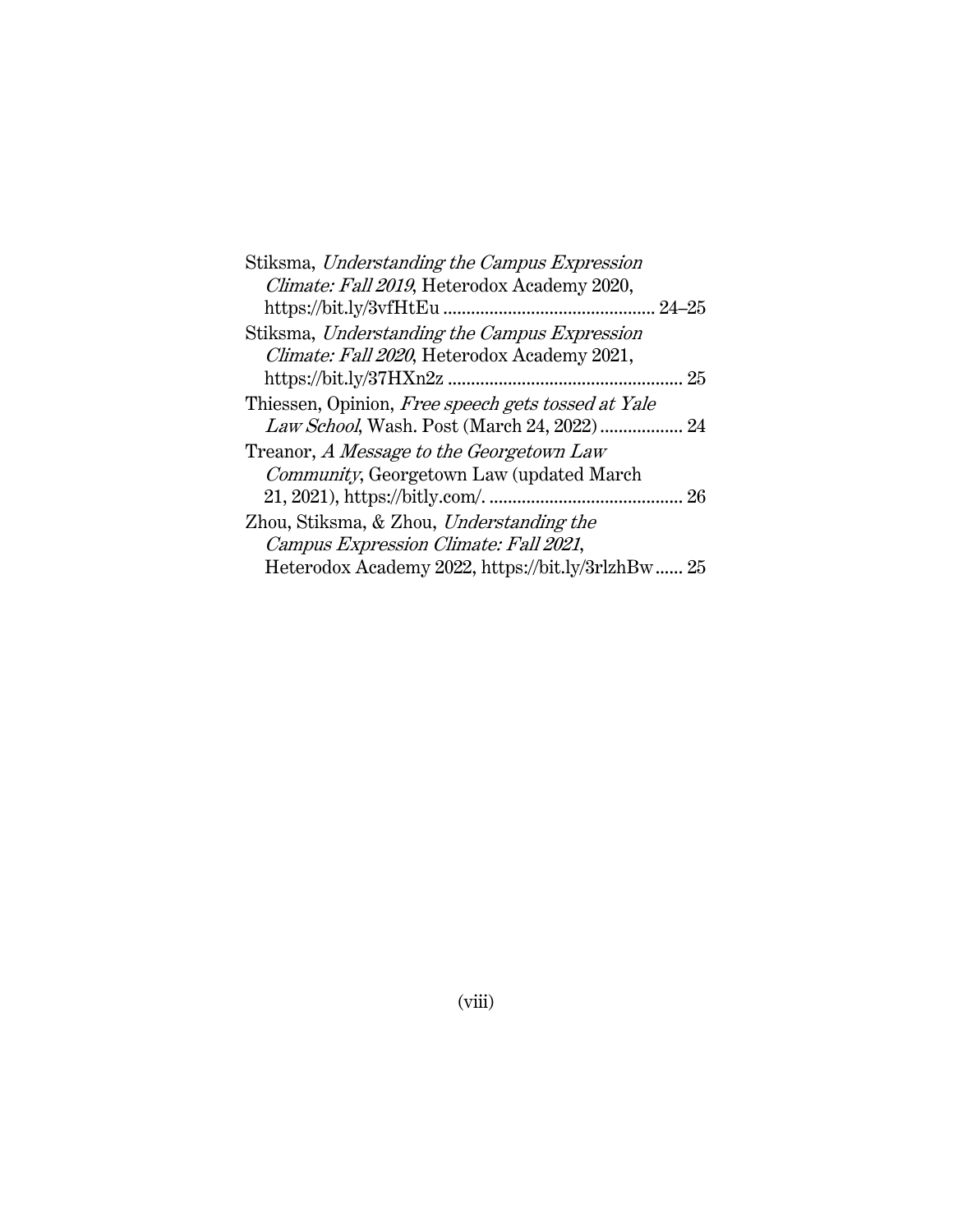| Stiksma, Understanding the Campus Expression       |    |
|----------------------------------------------------|----|
| Climate: Fall 2019, Heterodox Academy 2020,        |    |
| $24 - 25$                                          |    |
| Stiksma, Understanding the Campus Expression       |    |
| Climate: Fall 2020, Heterodox Academy 2021,        |    |
|                                                    | 25 |
| Thiessen, Opinion, Free speech gets tossed at Yale |    |
| Law School, Wash. Post (March 24, 2022)            | 24 |
| Treanor, A Message to the Georgetown Law           |    |
| Community, Georgetown Law (updated March           |    |
|                                                    | 26 |
| Zhou, Stiksma, & Zhou, Understanding the           |    |
| Campus Expression Climate: Fall 2021,              |    |
| Heterodox Academy 2022, https://bit.ly/3rlzhBw 25  |    |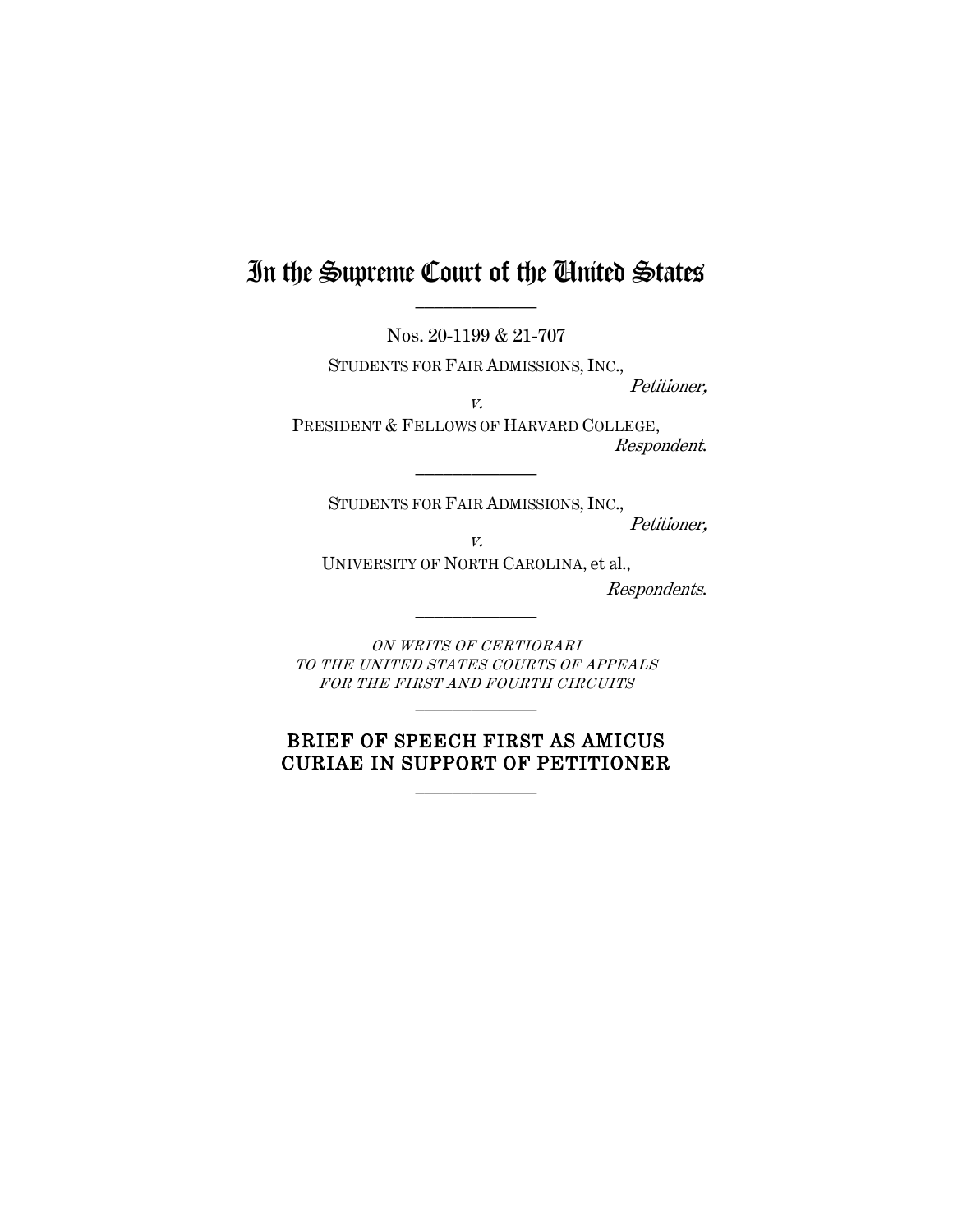## In the Supreme Court of the United States  $\frac{1}{2}$

Nos. 20-1199 & 21-707

STUDENTS FOR FAIR ADMISSIONS, INC.,

v.

Petitioner,

PRESIDENT & FELLOWS OF HARVARD COLLEGE, Respondent.

STUDENTS FOR FAIR ADMISSIONS, INC.,

 $\frac{1}{2}$ 

Petitioner,

v.

UNIVERSITY OF NORTH CAROLINA, et al.,

 $\frac{1}{2}$ 

Respondents.

ON WRITS OF CERTIORARI TO THE UNITED STATES COURTS OF APPEALS FOR THE FIRST AND FOURTH CIRCUITS  $\frac{1}{2}$ 

## BRIEF OF SPEECH FIRST AS AMICUS CURIAE IN SUPPORT OF PETITIONER

 $\mathcal{L}_\text{max}$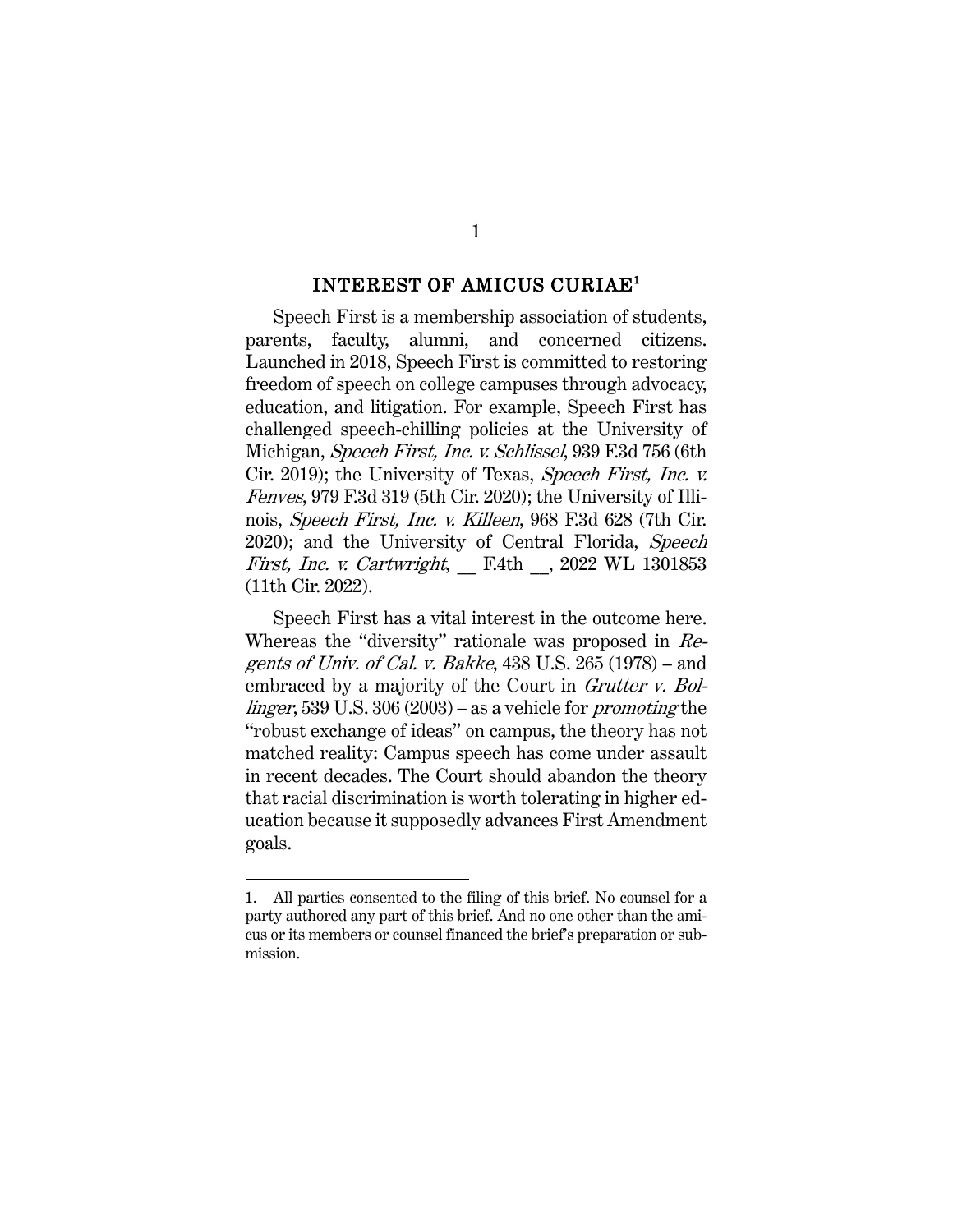#### INTEREST OF AMICUS CURIAE<sup>1</sup>

Speech First is a membership association of students, parents, faculty, alumni, and concerned citizens. Launched in 2018, Speech First is committed to restoring freedom of speech on college campuses through advocacy, education, and litigation. For example, Speech First has challenged speech-chilling policies at the University of Michigan, Speech First, Inc. v. Schlissel, 939 F.3d 756 (6th Cir. 2019); the University of Texas, Speech First, Inc. v. Fenves, 979 F.3d 319 (5th Cir. 2020); the University of Illinois, Speech First, Inc. v. Killeen, 968 F.3d 628 (7th Cir. 2020); and the University of Central Florida, Speech First, Inc. v. Cartwright, \_\_ F.4th \_\_, 2022 WL 1301853 (11th Cir. 2022).

Speech First has a vital interest in the outcome here. Whereas the "diversity" rationale was proposed in Regents of Univ. of Cal. v. Bakke, 438 U.S. 265 (1978) – and embraced by a majority of the Court in *Grutter v. Bol*linger, 539 U.S. 306 (2003) – as a vehicle for promoting the "robust exchange of ideas" on campus, the theory has not matched reality: Campus speech has come under assault in recent decades. The Court should abandon the theory that racial discrimination is worth tolerating in higher education because it supposedly advances First Amendment goals.

<sup>1.</sup> All parties consented to the filing of this brief. No counsel for a party authored any part of this brief. And no one other than the amicus or its members or counsel financed the brief's preparation or submission.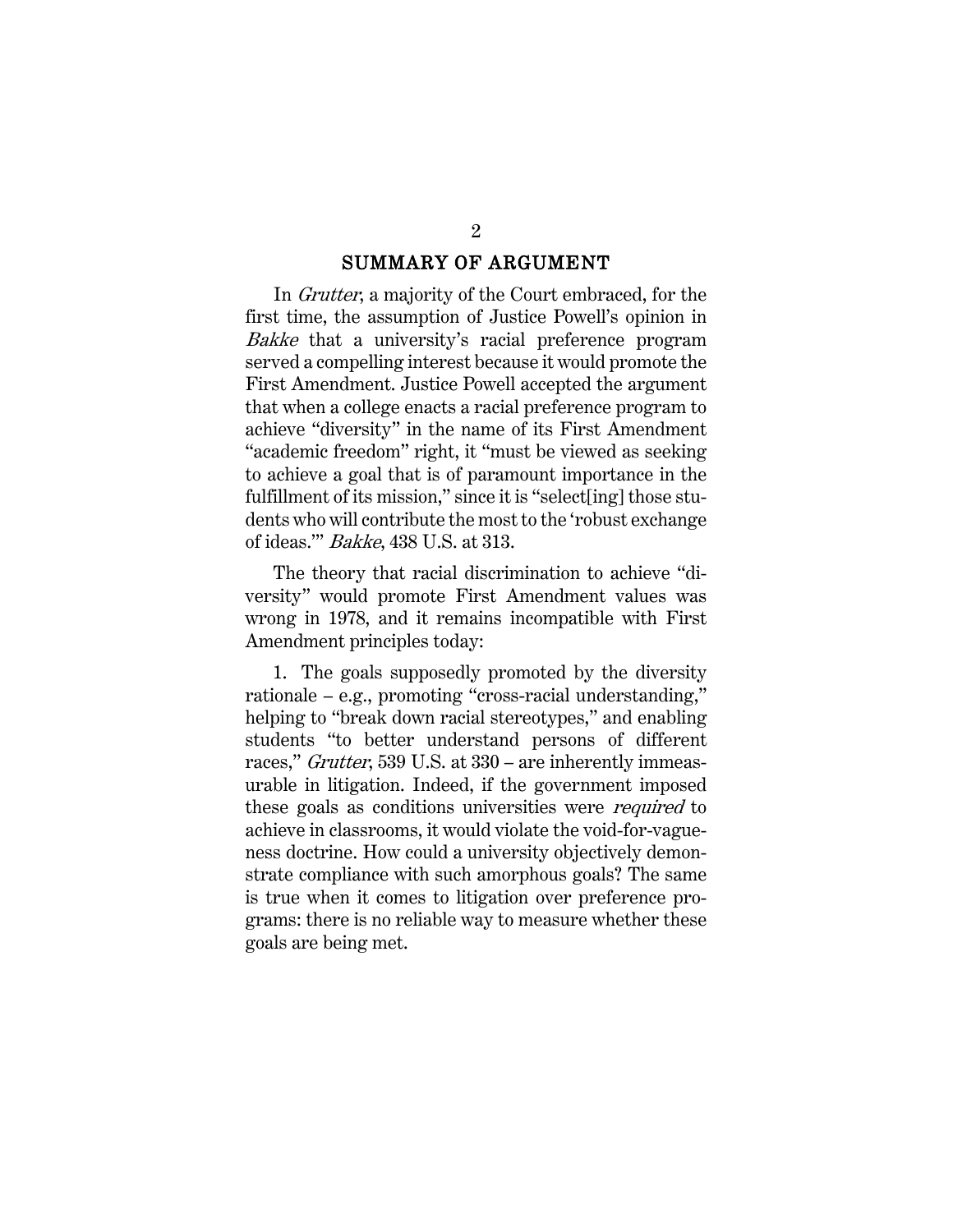#### SUMMARY OF ARGUMENT

In Grutter, a majority of the Court embraced, for the first time, the assumption of Justice Powell's opinion in Bakke that a university's racial preference program served a compelling interest because it would promote the First Amendment. Justice Powell accepted the argument that when a college enacts a racial preference program to achieve "diversity" in the name of its First Amendment "academic freedom" right, it "must be viewed as seeking to achieve a goal that is of paramount importance in the fulfillment of its mission," since it is "select[ing] those students who will contribute the most to the 'robust exchange of ideas.'" Bakke, 438 U.S. at 313.

The theory that racial discrimination to achieve "diversity" would promote First Amendment values was wrong in 1978, and it remains incompatible with First Amendment principles today:

1. The goals supposedly promoted by the diversity rationale – e.g., promoting "cross-racial understanding," helping to "break down racial stereotypes," and enabling students "to better understand persons of different races," Grutter, 539 U.S. at 330 – are inherently immeasurable in litigation. Indeed, if the government imposed these goals as conditions universities were *required* to achieve in classrooms, it would violate the void-for-vagueness doctrine. How could a university objectively demonstrate compliance with such amorphous goals? The same is true when it comes to litigation over preference programs: there is no reliable way to measure whether these goals are being met.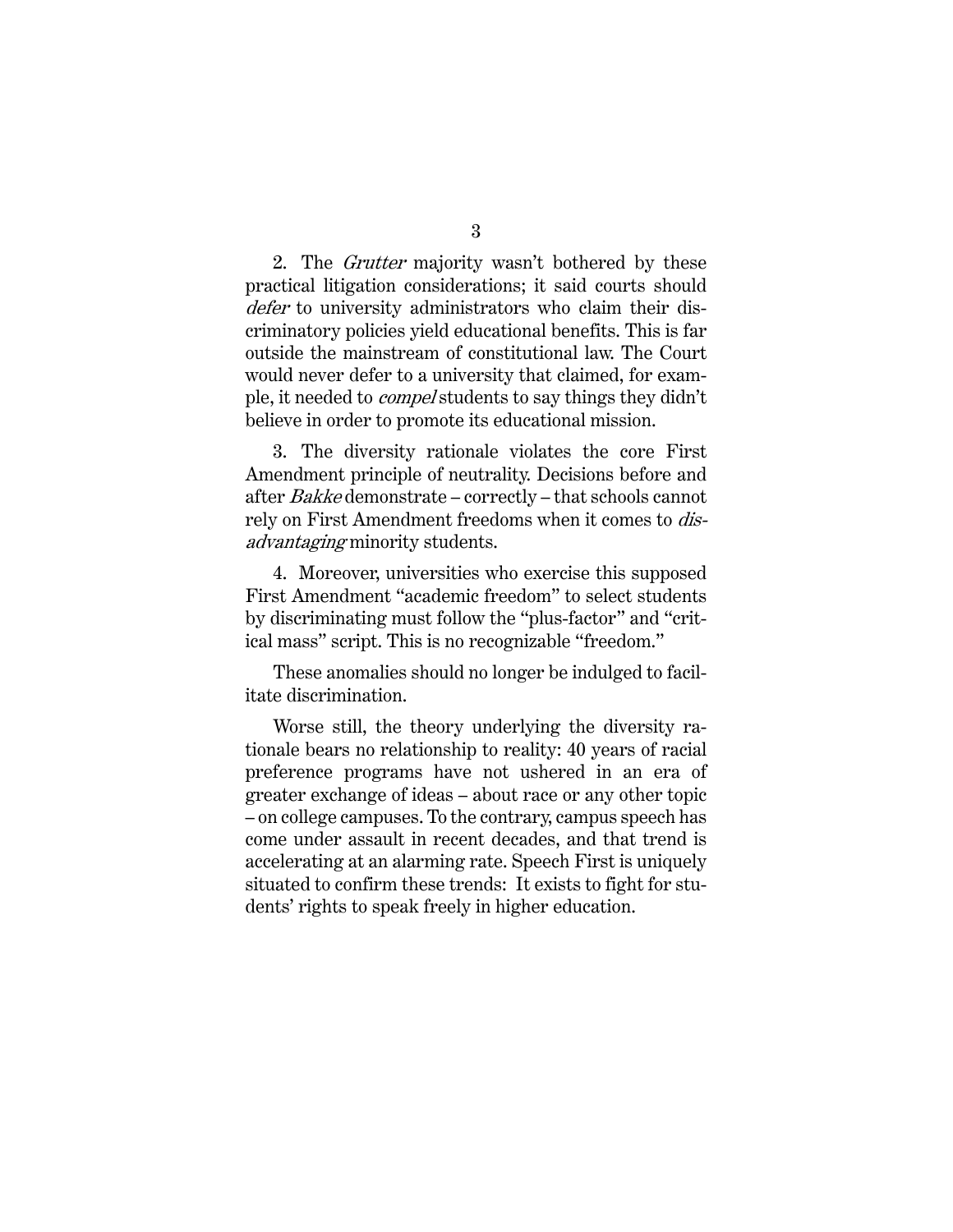2. The *Grutter* majority wasn't bothered by these practical litigation considerations; it said courts should defer to university administrators who claim their discriminatory policies yield educational benefits. This is far outside the mainstream of constitutional law. The Court would never defer to a university that claimed, for example, it needed to compel students to say things they didn't believe in order to promote its educational mission.

3. The diversity rationale violates the core First Amendment principle of neutrality. Decisions before and after Bakke demonstrate – correctly – that schools cannot rely on First Amendment freedoms when it comes to *dis*advantaging minority students.

4. Moreover, universities who exercise this supposed First Amendment "academic freedom" to select students by discriminating must follow the "plus-factor" and "critical mass" script. This is no recognizable "freedom."

These anomalies should no longer be indulged to facilitate discrimination.

Worse still, the theory underlying the diversity rationale bears no relationship to reality: 40 years of racial preference programs have not ushered in an era of greater exchange of ideas – about race or any other topic – on college campuses. To the contrary, campus speech has come under assault in recent decades, and that trend is accelerating at an alarming rate. Speech First is uniquely situated to confirm these trends: It exists to fight for students' rights to speak freely in higher education.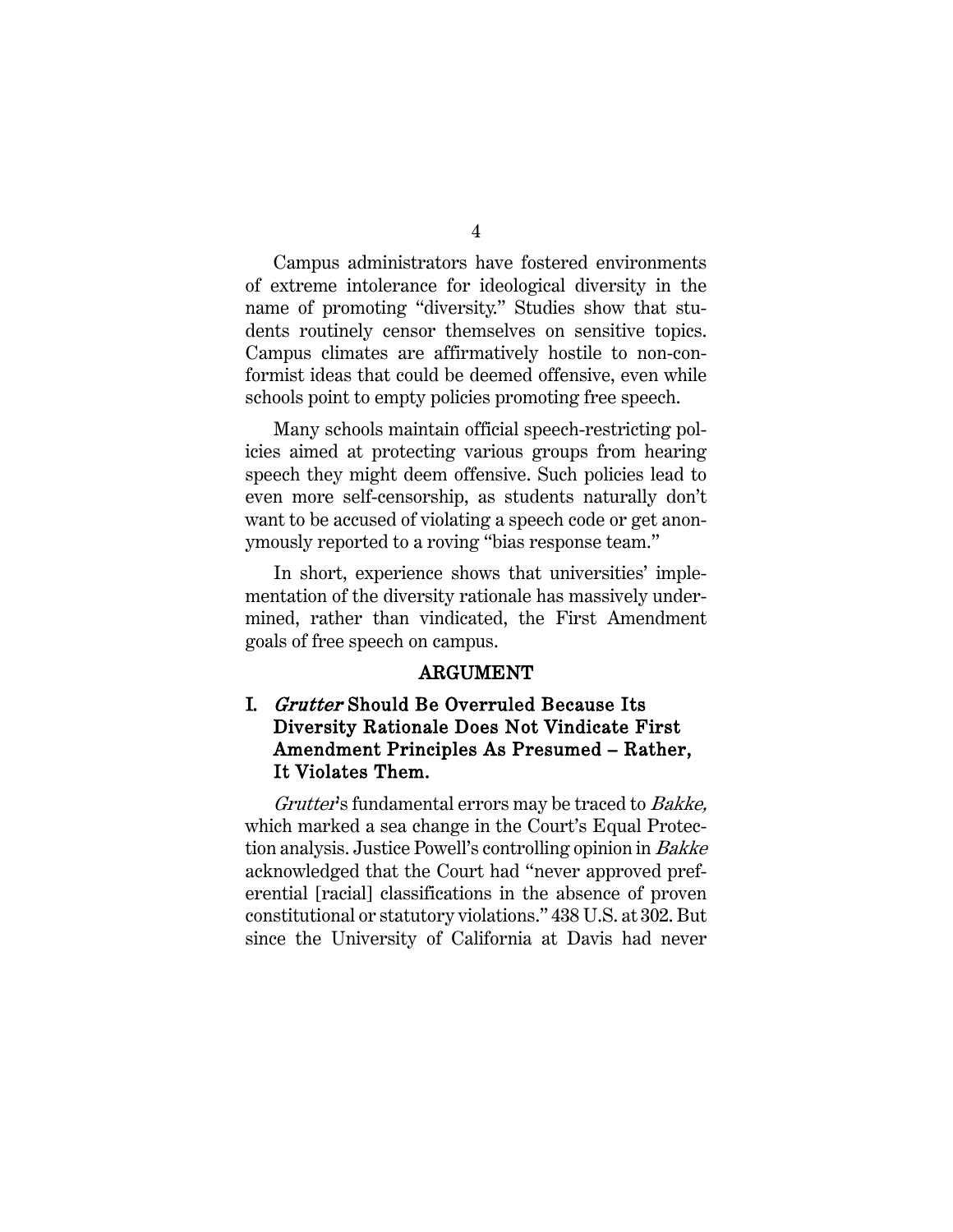Campus administrators have fostered environments of extreme intolerance for ideological diversity in the name of promoting "diversity." Studies show that students routinely censor themselves on sensitive topics. Campus climates are affirmatively hostile to non-conformist ideas that could be deemed offensive, even while schools point to empty policies promoting free speech.

Many schools maintain official speech-restricting policies aimed at protecting various groups from hearing speech they might deem offensive. Such policies lead to even more self-censorship, as students naturally don't want to be accused of violating a speech code or get anonymously reported to a roving "bias response team."

In short, experience shows that universities' implementation of the diversity rationale has massively undermined, rather than vindicated, the First Amendment goals of free speech on campus.

#### ARGUMENT

## I. Grutter Should Be Overruled Because Its Diversity Rationale Does Not Vindicate First Amendment Principles As Presumed – Rather, It Violates Them.

Grutter's fundamental errors may be traced to Bakke, which marked a sea change in the Court's Equal Protection analysis. Justice Powell's controlling opinion in Bakke acknowledged that the Court had "never approved preferential [racial] classifications in the absence of proven constitutional or statutory violations." 438 U.S. at 302. But since the University of California at Davis had never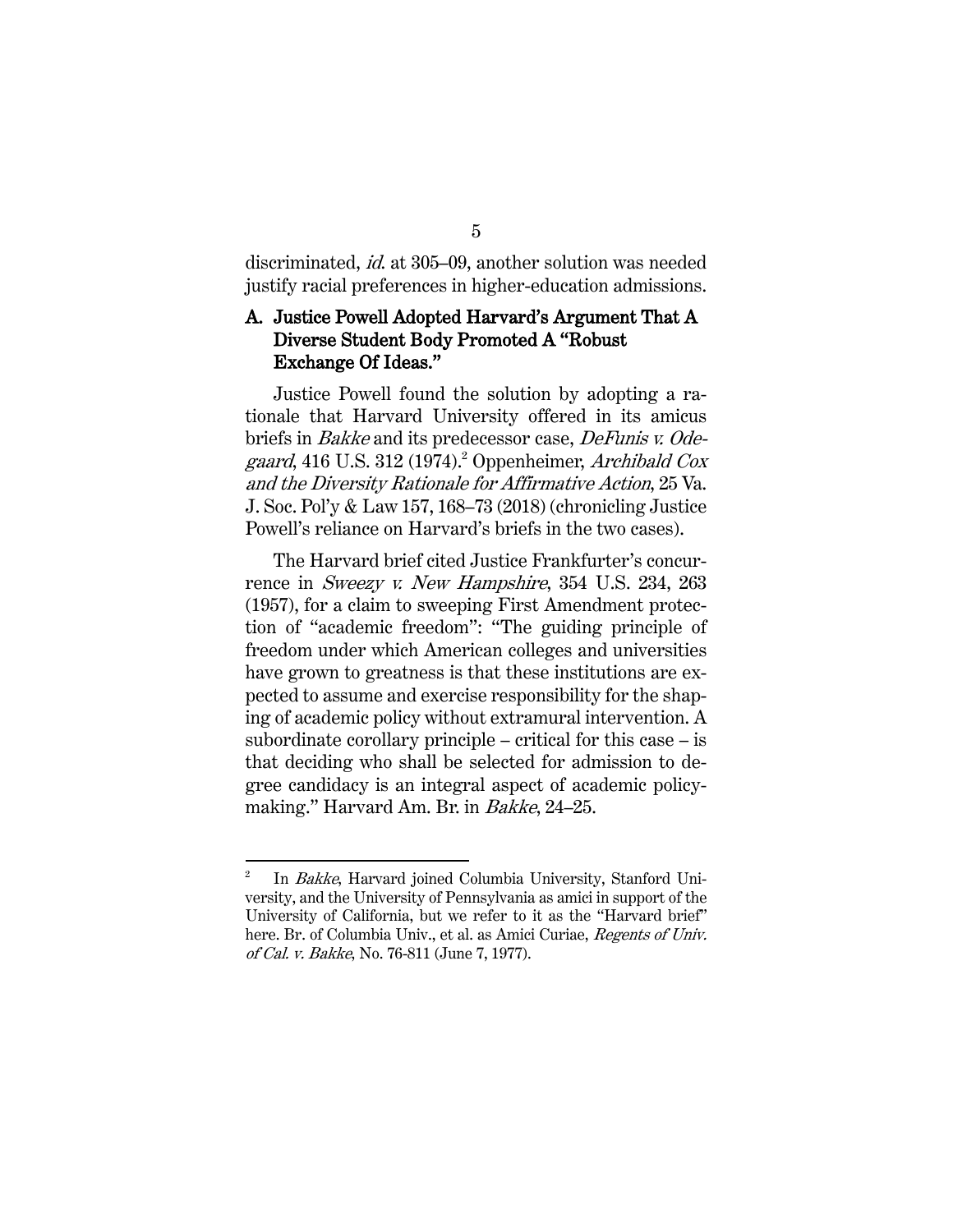discriminated, id. at 305–09, another solution was needed justify racial preferences in higher-education admissions.

## A. Justice Powell Adopted Harvard's Argument That A Diverse Student Body Promoted A "Robust Exchange Of Ideas."

Justice Powell found the solution by adopting a rationale that Harvard University offered in its amicus briefs in Bakke and its predecessor case, DeFunis v. Odegaard, 416 U.S. 312 (1974). <sup>2</sup> Oppenheimer, Archibald Cox and the Diversity Rationale for Affirmative Action, 25 Va. J. Soc. Pol'y & Law 157, 168–73 (2018) (chronicling Justice Powell's reliance on Harvard's briefs in the two cases).

The Harvard brief cited Justice Frankfurter's concurrence in Sweezy v. New Hampshire, 354 U.S. 234, 263 (1957), for a claim to sweeping First Amendment protection of "academic freedom": "The guiding principle of freedom under which American colleges and universities have grown to greatness is that these institutions are expected to assume and exercise responsibility for the shaping of academic policy without extramural intervention. A subordinate corollary principle – critical for this case – is that deciding who shall be selected for admission to degree candidacy is an integral aspect of academic policymaking." Harvard Am. Br. in Bakke, 24–25.

In Bakke, Harvard joined Columbia University, Stanford University, and the University of Pennsylvania as amici in support of the University of California, but we refer to it as the "Harvard brief" here. Br. of Columbia Univ., et al. as Amici Curiae, Regents of Univ. of Cal. v. Bakke, No. 76-811 (June 7, 1977).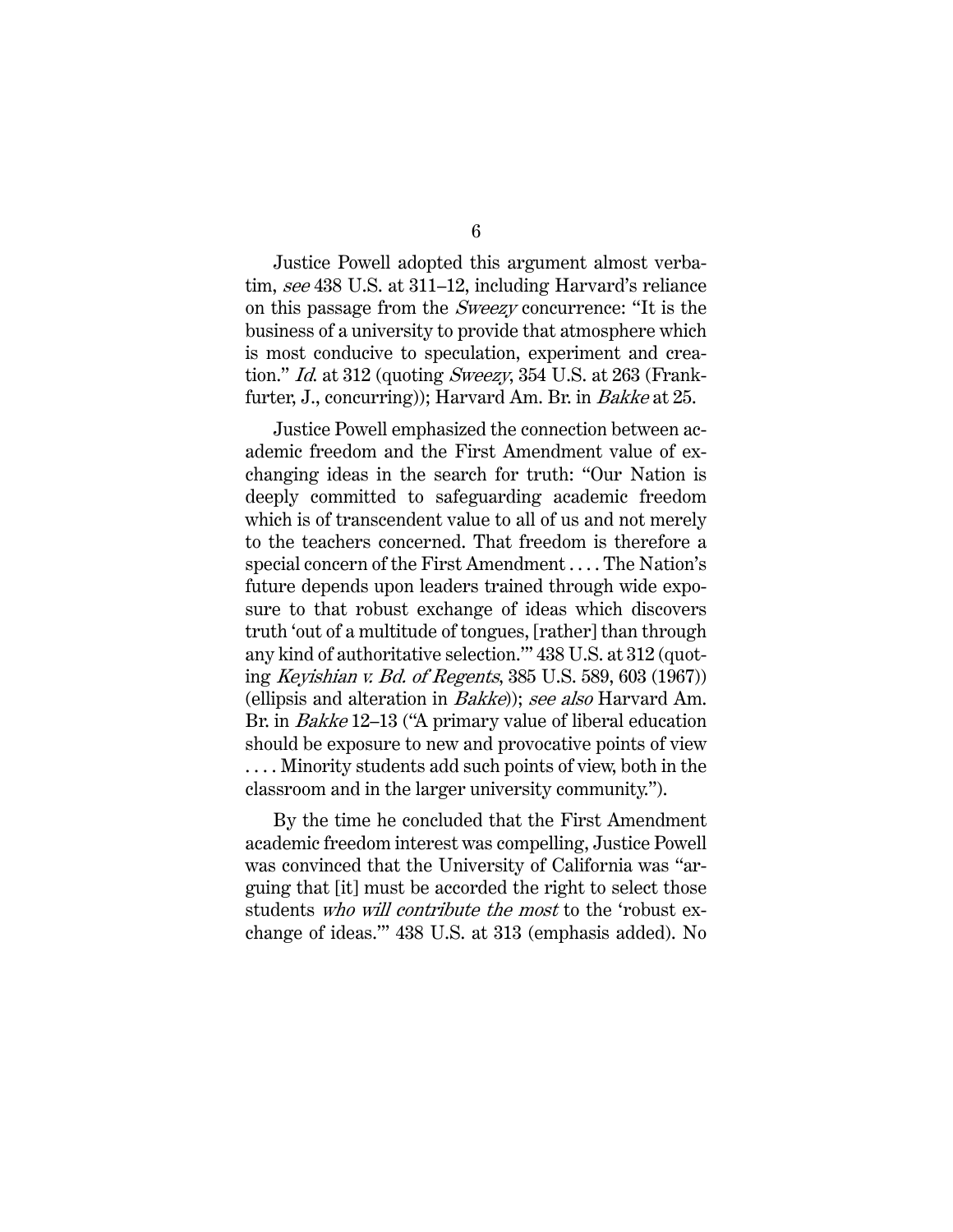Justice Powell adopted this argument almost verbatim, see 438 U.S. at 311–12, including Harvard's reliance on this passage from the Sweezy concurrence: "It is the business of a university to provide that atmosphere which is most conducive to speculation, experiment and creation." *Id.* at 312 (quoting *Sweezy*, 354 U.S. at 263 (Frankfurter, J., concurring)); Harvard Am. Br. in *Bakke* at 25.

Justice Powell emphasized the connection between academic freedom and the First Amendment value of exchanging ideas in the search for truth: "Our Nation is deeply committed to safeguarding academic freedom which is of transcendent value to all of us and not merely to the teachers concerned. That freedom is therefore a special concern of the First Amendment . . . . The Nation's future depends upon leaders trained through wide exposure to that robust exchange of ideas which discovers truth 'out of a multitude of tongues, [rather] than through any kind of authoritative selection.'" 438 U.S. at 312 (quoting Keyishian v. Bd. of Regents, 385 U.S. 589, 603 (1967)) (ellipsis and alteration in Bakke)); see also Harvard Am. Br. in Bakke 12–13 ("A primary value of liberal education should be exposure to new and provocative points of view . . . . Minority students add such points of view, both in the classroom and in the larger university community.").

By the time he concluded that the First Amendment academic freedom interest was compelling, Justice Powell was convinced that the University of California was "arguing that [it] must be accorded the right to select those students who will contribute the most to the 'robust exchange of ideas.'" 438 U.S. at 313 (emphasis added). No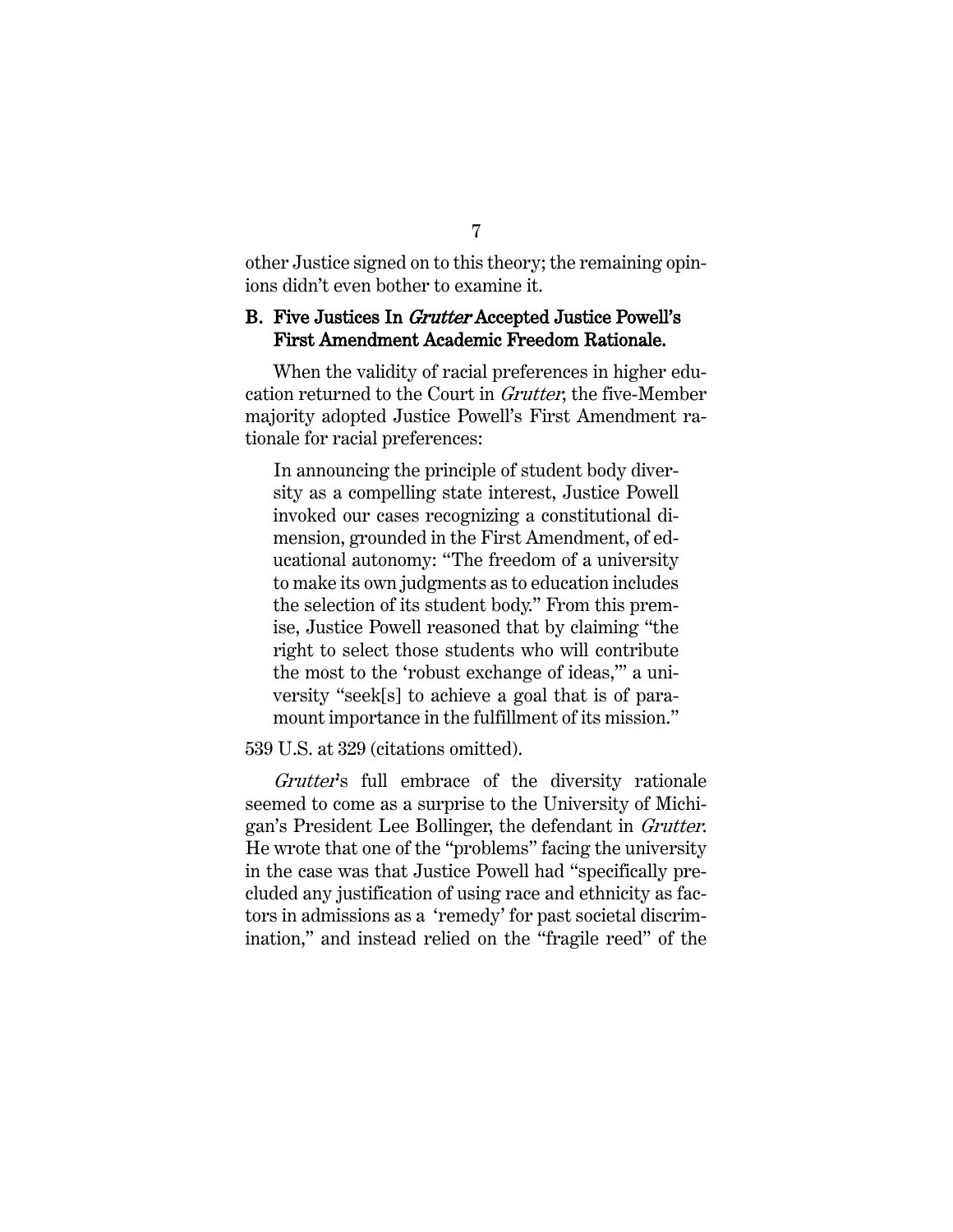other Justice signed on to this theory; the remaining opinions didn't even bother to examine it.

### B. Five Justices In Grutter Accepted Justice Powell's First Amendment Academic Freedom Rationale.

When the validity of racial preferences in higher education returned to the Court in Grutter, the five-Member majority adopted Justice Powell's First Amendment rationale for racial preferences:

In announcing the principle of student body diversity as a compelling state interest, Justice Powell invoked our cases recognizing a constitutional dimension, grounded in the First Amendment, of educational autonomy: "The freedom of a university to make its own judgments as to education includes the selection of its student body." From this premise, Justice Powell reasoned that by claiming "the right to select those students who will contribute the most to the 'robust exchange of ideas,'" a university "seek[s] to achieve a goal that is of paramount importance in the fulfillment of its mission."

539 U.S. at 329 (citations omitted).

Grutter's full embrace of the diversity rationale seemed to come as a surprise to the University of Michigan's President Lee Bollinger, the defendant in Grutter. He wrote that one of the "problems" facing the university in the case was that Justice Powell had "specifically precluded any justification of using race and ethnicity as factors in admissions as a 'remedy' for past societal discrimination," and instead relied on the "fragile reed" of the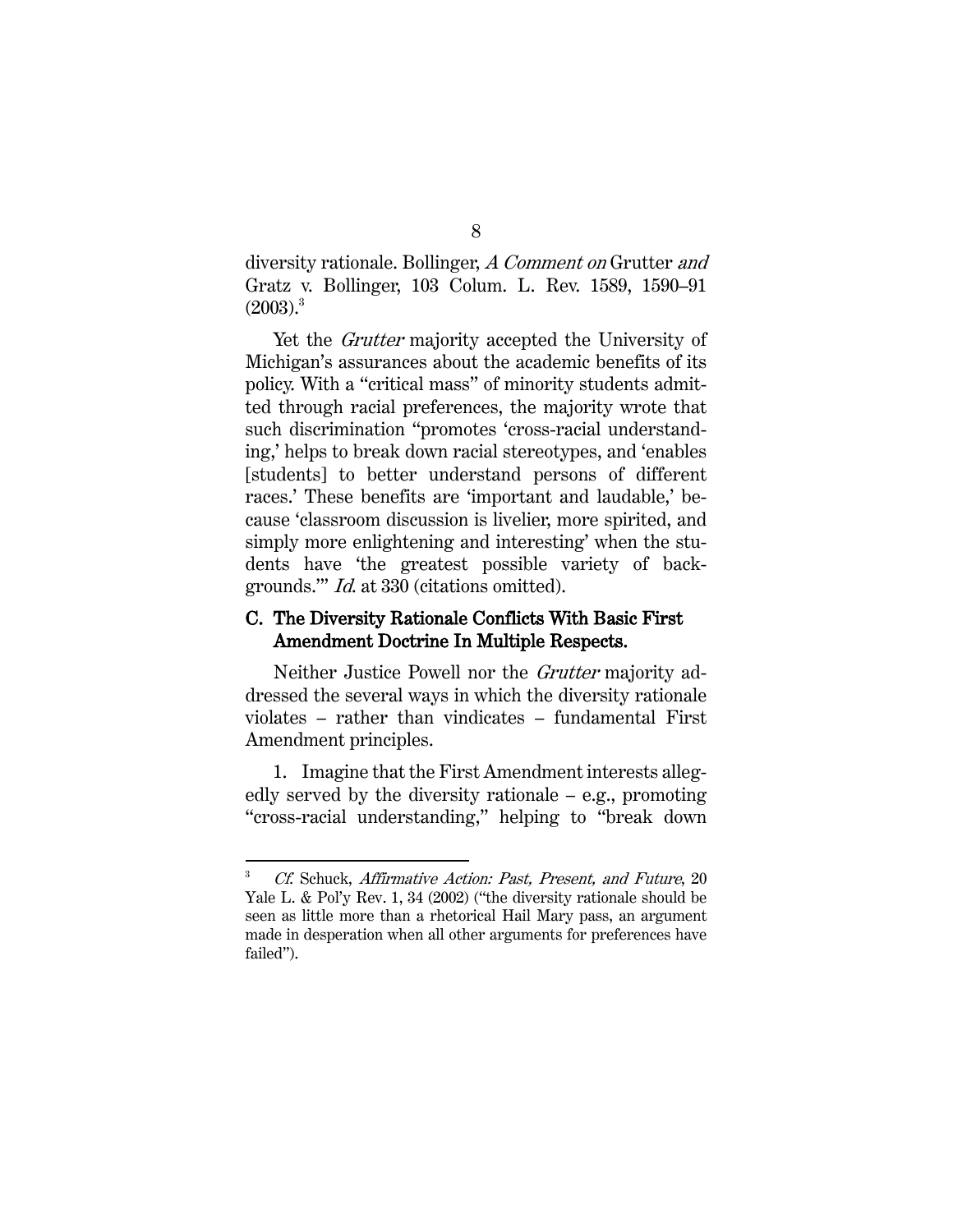diversity rationale. Bollinger, A Comment on Grutter and Gratz v. Bollinger, 103 Colum. L. Rev. 1589, 1590–91  $(2003).$ <sup>3</sup>

Yet the *Grutter* majority accepted the University of Michigan's assurances about the academic benefits of its policy. With a "critical mass" of minority students admitted through racial preferences, the majority wrote that such discrimination "promotes 'cross-racial understanding,' helps to break down racial stereotypes, and 'enables [students] to better understand persons of different races.' These benefits are 'important and laudable,' because 'classroom discussion is livelier, more spirited, and simply more enlightening and interesting' when the students have 'the greatest possible variety of backgrounds.'" Id. at 330 (citations omitted).

## C. The Diversity Rationale Conflicts With Basic First Amendment Doctrine In Multiple Respects.

Neither Justice Powell nor the Grutter majority addressed the several ways in which the diversity rationale violates – rather than vindicates – fundamental First Amendment principles.

1. Imagine that the First Amendment interests allegedly served by the diversity rationale – e.g., promoting "cross-racial understanding," helping to "break down

<sup>3</sup> Cf. Schuck, Affirmative Action: Past, Present, and Future, 20 Yale L. & Pol'y Rev. 1, 34 (2002) ("the diversity rationale should be seen as little more than a rhetorical Hail Mary pass, an argument made in desperation when all other arguments for preferences have failed").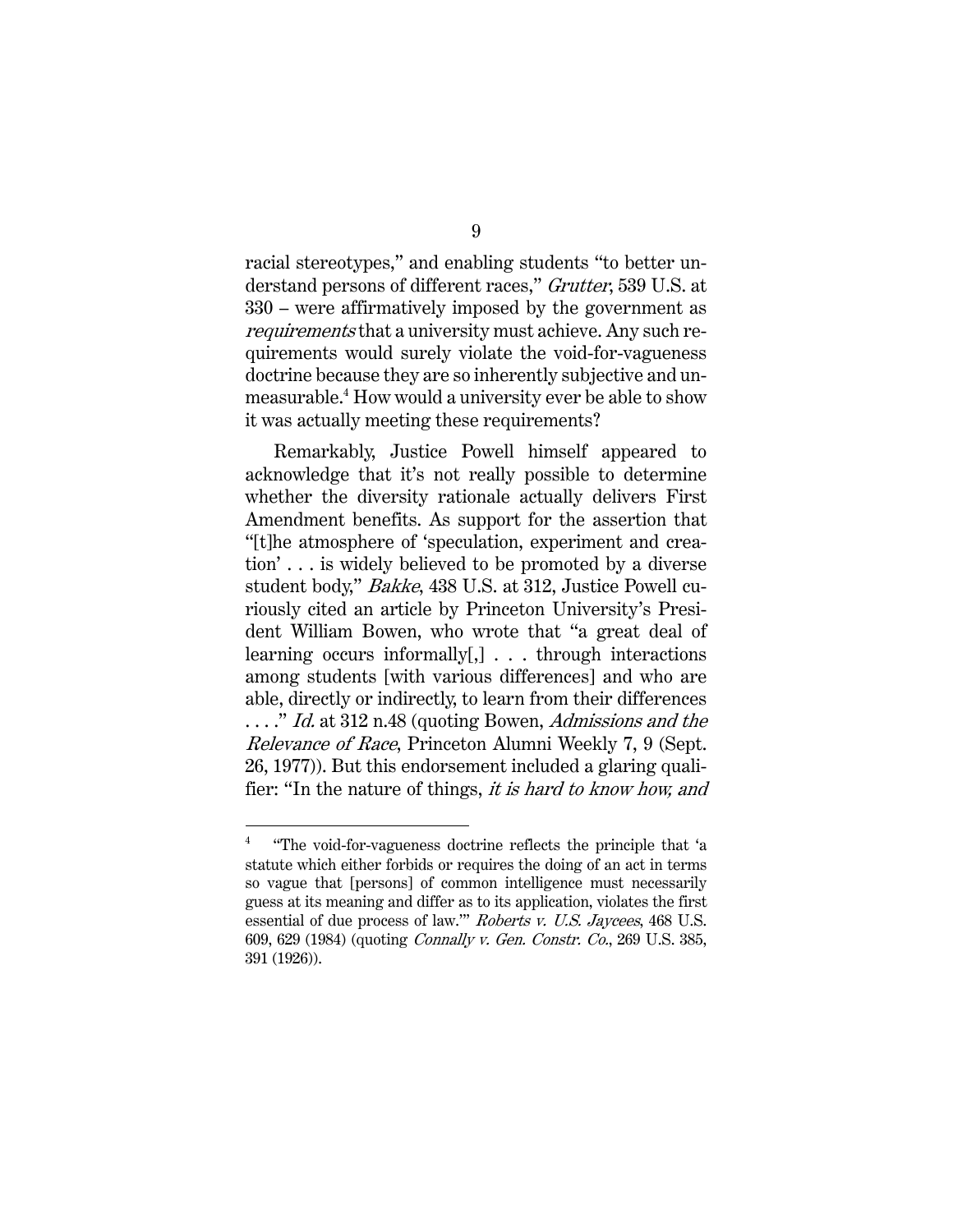racial stereotypes," and enabling students "to better understand persons of different races," Grutter, 539 U.S. at 330 – were affirmatively imposed by the government as requirements that a university must achieve. Any such requirements would surely violate the void-for-vagueness doctrine because they are so inherently subjective and unmeasurable.<sup>4</sup> How would a university ever be able to show it was actually meeting these requirements?

Remarkably, Justice Powell himself appeared to acknowledge that it's not really possible to determine whether the diversity rationale actually delivers First Amendment benefits. As support for the assertion that "[t]he atmosphere of 'speculation, experiment and creation' . . . is widely believed to be promoted by a diverse student body," Bakke, 438 U.S. at 312, Justice Powell curiously cited an article by Princeton University's President William Bowen, who wrote that "a great deal of learning occurs informally[,] . . . through interactions among students [with various differences] and who are able, directly or indirectly, to learn from their differences ...." Id. at 312 n.48 (quoting Bowen, Admissions and the Relevance of Race, Princeton Alumni Weekly 7, 9 (Sept. 26, 1977)). But this endorsement included a glaring qualifier: "In the nature of things, it is hard to know how, and

<sup>4</sup> "The void-for-vagueness doctrine reflects the principle that 'a statute which either forbids or requires the doing of an act in terms so vague that [persons] of common intelligence must necessarily guess at its meaning and differ as to its application, violates the first essential of due process of law.'" Roberts v. U.S. Jaycees, 468 U.S. 609, 629 (1984) (quoting Connally v. Gen. Constr. Co., 269 U.S. 385, 391 (1926)).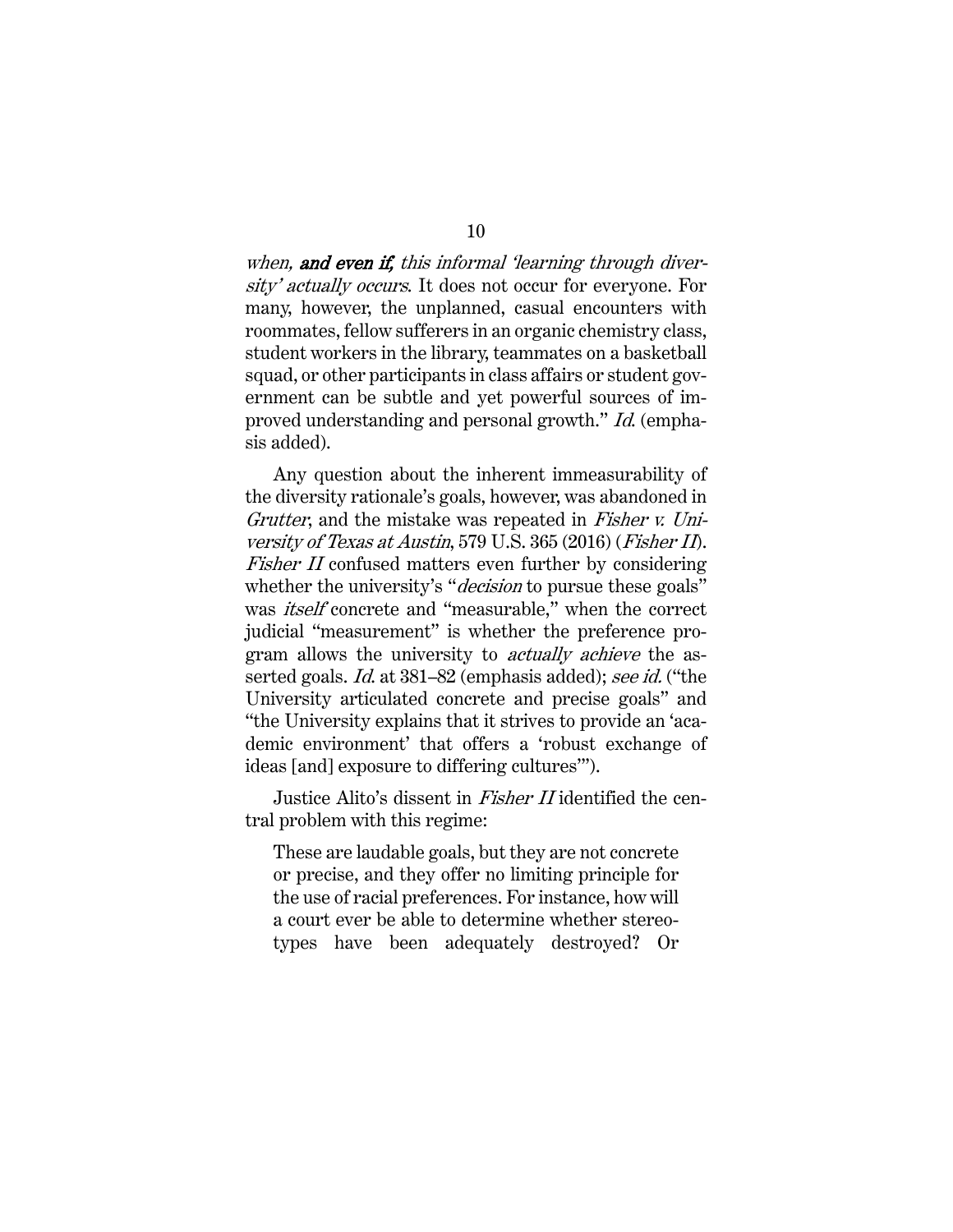when, and even if, this informal 'learning through diversity' actually occurs. It does not occur for everyone. For many, however, the unplanned, casual encounters with roommates, fellow sufferers in an organic chemistry class, student workers in the library, teammates on a basketball squad, or other participants in class affairs or student government can be subtle and yet powerful sources of improved understanding and personal growth." Id. (emphasis added).

Any question about the inherent immeasurability of the diversity rationale's goals, however, was abandoned in Grutter, and the mistake was repeated in Fisher v. University of Texas at Austin, 579 U.S. 365 (2016) (Fisher II). Fisher II confused matters even further by considering whether the university's "*decision* to pursue these goals" was *itself* concrete and "measurable," when the correct judicial "measurement" is whether the preference program allows the university to actually achieve the asserted goals. *Id.* at 381–82 (emphasis added); *see id.* ("the University articulated concrete and precise goals" and "the University explains that it strives to provide an 'academic environment' that offers a 'robust exchange of ideas [and] exposure to differing cultures'").

Justice Alito's dissent in *Fisher II* identified the central problem with this regime:

These are laudable goals, but they are not concrete or precise, and they offer no limiting principle for the use of racial preferences. For instance, how will a court ever be able to determine whether stereotypes have been adequately destroyed? Or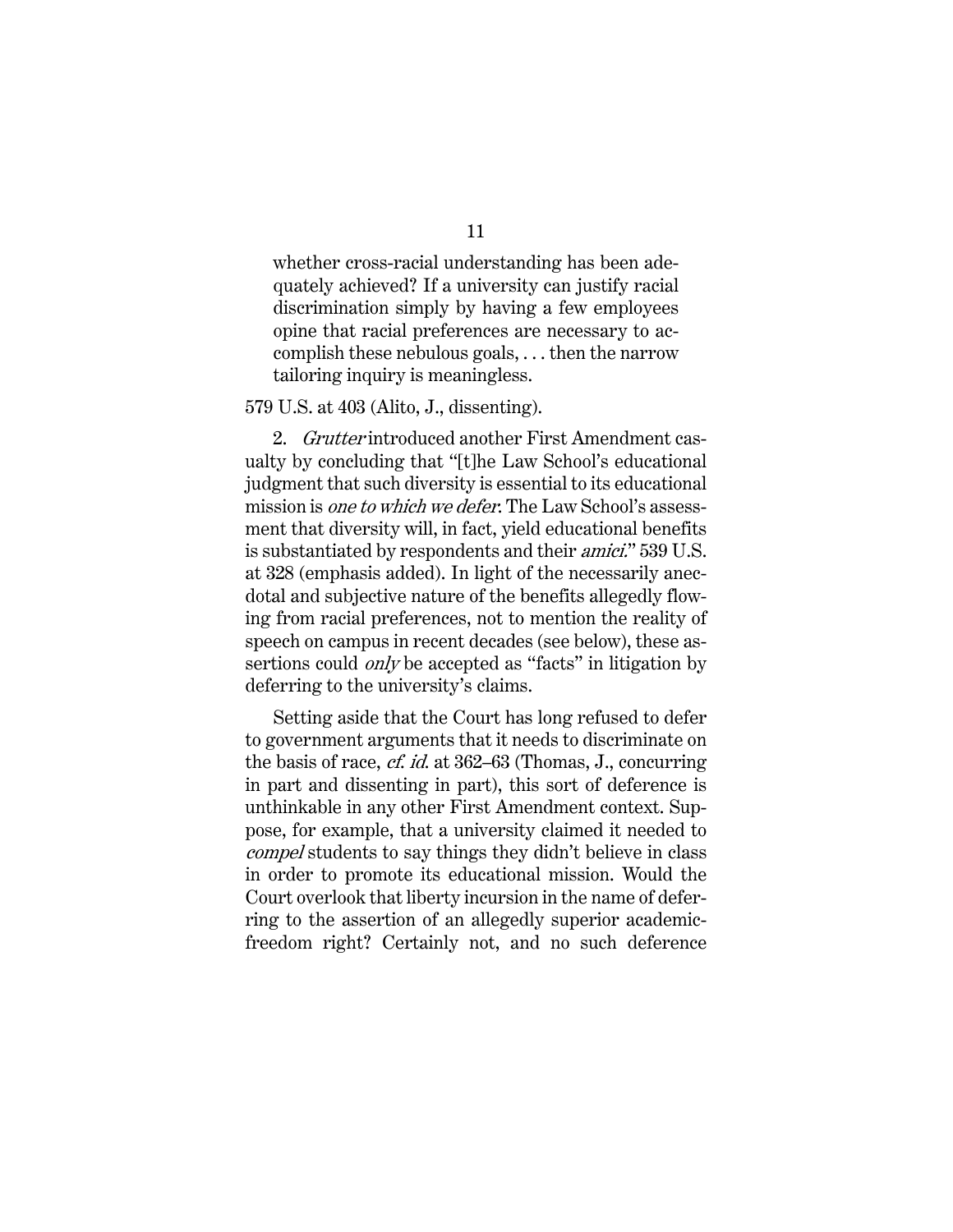whether cross-racial understanding has been adequately achieved? If a university can justify racial discrimination simply by having a few employees opine that racial preferences are necessary to accomplish these nebulous goals, . . . then the narrow tailoring inquiry is meaningless.

#### 579 U.S. at 403 (Alito, J., dissenting).

2. Grutter introduced another First Amendment casualty by concluding that "[t]he Law School's educational judgment that such diversity is essential to its educational mission is one to which we defer. The Law School's assessment that diversity will, in fact, yield educational benefits is substantiated by respondents and their amici." 539 U.S. at 328 (emphasis added). In light of the necessarily anecdotal and subjective nature of the benefits allegedly flowing from racial preferences, not to mention the reality of speech on campus in recent decades (see below), these assertions could *only* be accepted as "facts" in litigation by deferring to the university's claims.

Setting aside that the Court has long refused to defer to government arguments that it needs to discriminate on the basis of race, cf. id. at 362–63 (Thomas, J., concurring in part and dissenting in part), this sort of deference is unthinkable in any other First Amendment context. Suppose, for example, that a university claimed it needed to compel students to say things they didn't believe in class in order to promote its educational mission. Would the Court overlook that liberty incursion in the name of deferring to the assertion of an allegedly superior academicfreedom right? Certainly not, and no such deference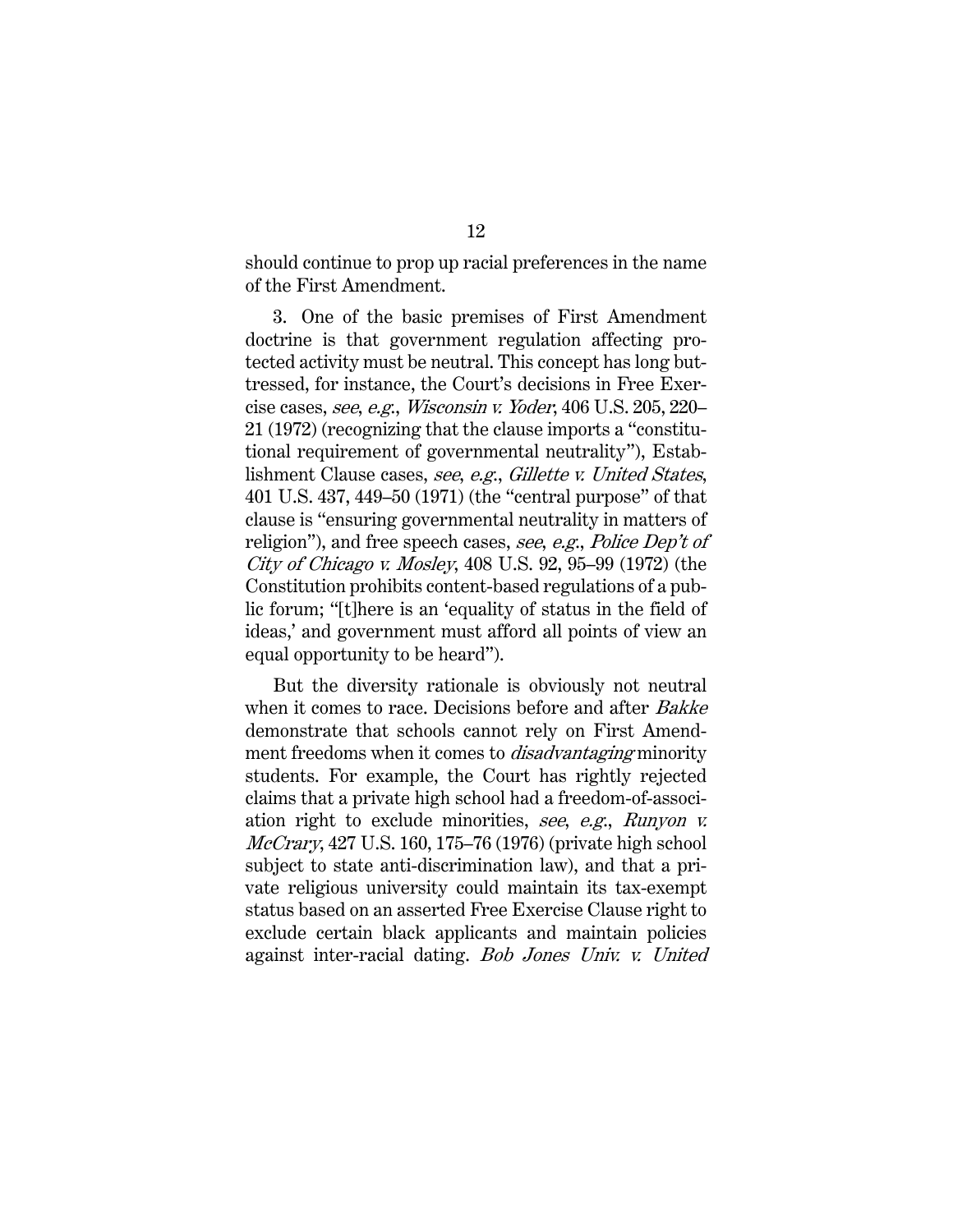should continue to prop up racial preferences in the name of the First Amendment.

3. One of the basic premises of First Amendment doctrine is that government regulation affecting protected activity must be neutral. This concept has long buttressed, for instance, the Court's decisions in Free Exercise cases, see, e.g., Wisconsin v. Yoder, 406 U.S. 205, 220– 21 (1972) (recognizing that the clause imports a "constitutional requirement of governmental neutrality"), Establishment Clause cases, see, e.g., Gillette v. United States, 401 U.S. 437, 449–50 (1971) (the "central purpose" of that clause is "ensuring governmental neutrality in matters of religion"), and free speech cases, see, e.g., Police Dep't of City of Chicago v. Mosley, 408 U.S. 92, 95–99 (1972) (the Constitution prohibits content-based regulations of a public forum; "[t]here is an 'equality of status in the field of ideas,' and government must afford all points of view an equal opportunity to be heard").

But the diversity rationale is obviously not neutral when it comes to race. Decisions before and after *Bakke* demonstrate that schools cannot rely on First Amendment freedoms when it comes to *disadvantaging* minority students. For example, the Court has rightly rejected claims that a private high school had a freedom-of-association right to exclude minorities, see, e.g., Runyon v. McCrary, 427 U.S. 160, 175–76 (1976) (private high school subject to state anti-discrimination law), and that a private religious university could maintain its tax-exempt status based on an asserted Free Exercise Clause right to exclude certain black applicants and maintain policies against inter-racial dating. Bob Jones Univ. v. United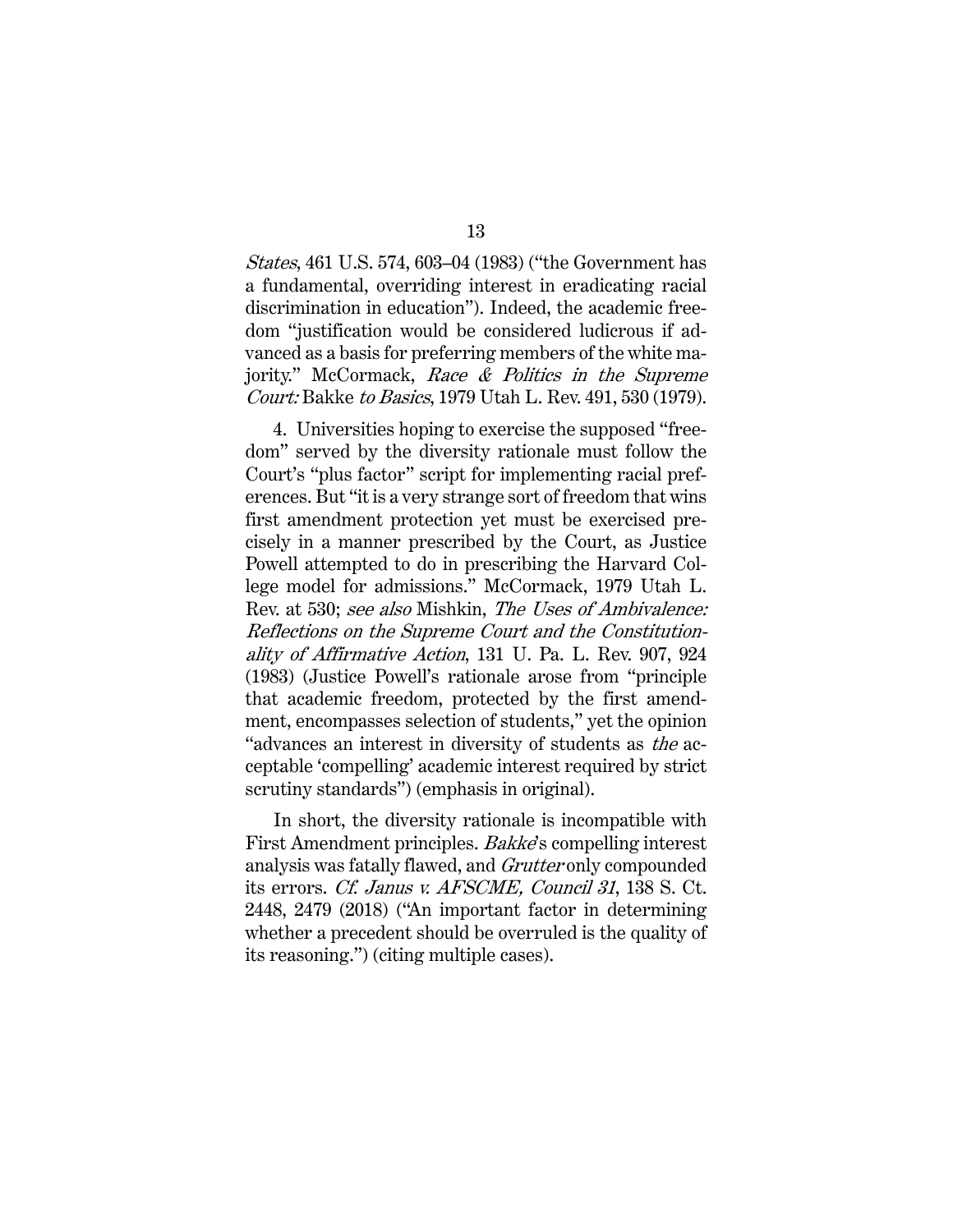States, 461 U.S. 574, 603–04 (1983) ("the Government has a fundamental, overriding interest in eradicating racial discrimination in education"). Indeed, the academic freedom "justification would be considered ludicrous if advanced as a basis for preferring members of the white majority." McCormack, Race & Politics in the Supreme Court: Bakke to Basics, 1979 Utah L. Rev. 491, 530 (1979).

4. Universities hoping to exercise the supposed "freedom" served by the diversity rationale must follow the Court's "plus factor" script for implementing racial preferences. But "it is a very strange sort of freedom that wins first amendment protection yet must be exercised precisely in a manner prescribed by the Court, as Justice Powell attempted to do in prescribing the Harvard College model for admissions." McCormack, 1979 Utah L. Rev. at 530; see also Mishkin, The Uses of Ambivalence: Reflections on the Supreme Court and the Constitutionality of Affirmative Action, 131 U. Pa. L. Rev. 907, 924 (1983) (Justice Powell's rationale arose from "principle that academic freedom, protected by the first amendment, encompasses selection of students," yet the opinion "advances an interest in diversity of students as the acceptable 'compelling' academic interest required by strict scrutiny standards") (emphasis in original).

In short, the diversity rationale is incompatible with First Amendment principles. *Bakke's* compelling interest analysis was fatally flawed, and Grutter only compounded its errors. Cf. Janus v. AFSCME, Council 31, 138 S. Ct. 2448, 2479 (2018) ("An important factor in determining whether a precedent should be overruled is the quality of its reasoning.") (citing multiple cases).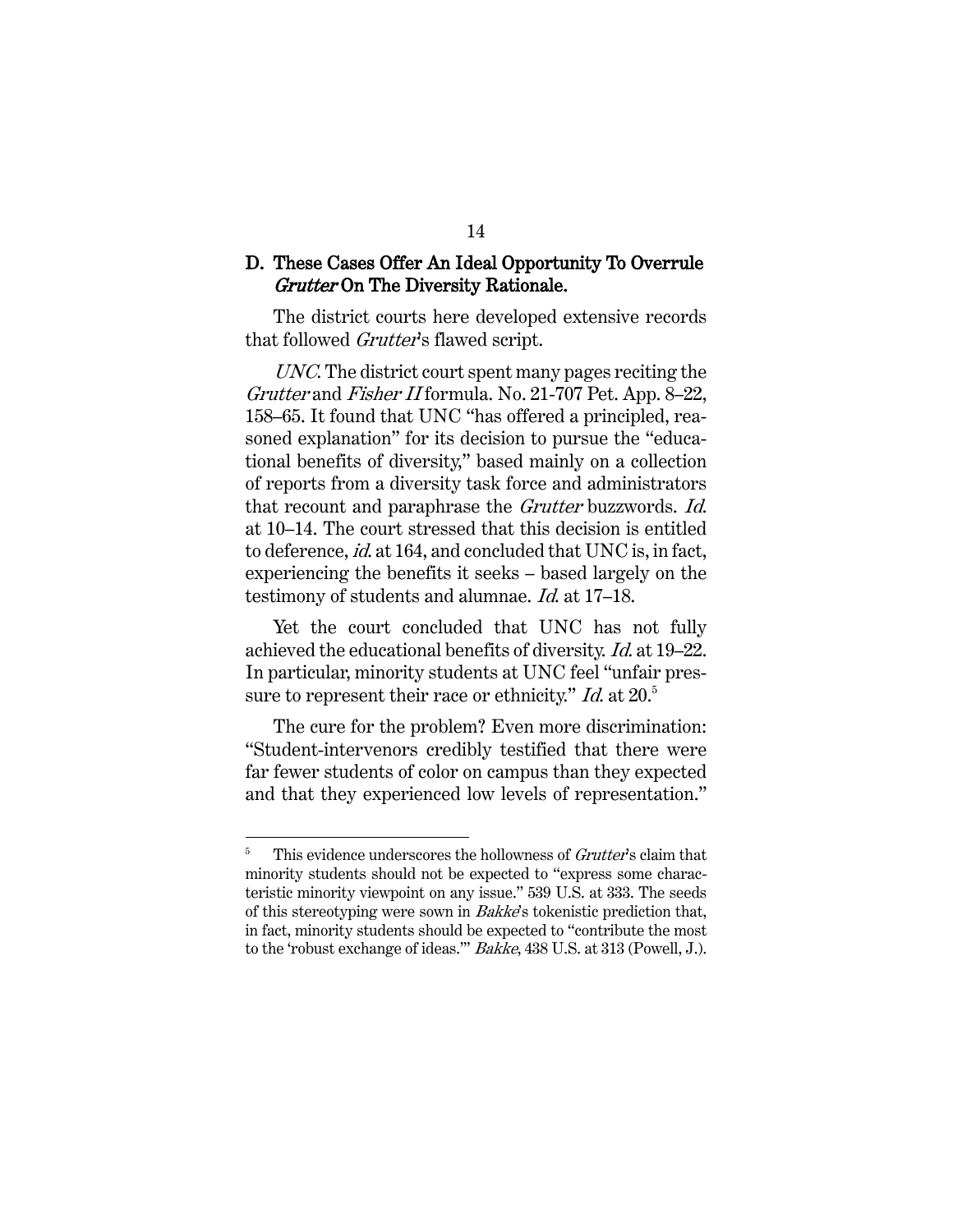#### D. These Cases Offer An Ideal Opportunity To Overrule Grutter On The Diversity Rationale.

The district courts here developed extensive records that followed *Grutter's* flawed script.

UNC. The district court spent many pages reciting the Grutter and Fisher II formula. No. 21-707 Pet. App. 8–22, 158–65. It found that UNC "has offered a principled, reasoned explanation" for its decision to pursue the "educational benefits of diversity," based mainly on a collection of reports from a diversity task force and administrators that recount and paraphrase the Grutter buzzwords. Id. at 10–14. The court stressed that this decision is entitled to deference, id. at 164, and concluded that UNC is, in fact, experiencing the benefits it seeks – based largely on the testimony of students and alumnae. Id. at 17–18.

Yet the court concluded that UNC has not fully achieved the educational benefits of diversity. Id. at 19–22. In particular, minority students at UNC feel "unfair pressure to represent their race or ethnicity." Id. at  $20<sup>5</sup>$ 

The cure for the problem? Even more discrimination: "Student-intervenors credibly testified that there were far fewer students of color on campus than they expected and that they experienced low levels of representation."

 $5$  This evidence underscores the hollowness of *Grutter's* claim that minority students should not be expected to "express some characteristic minority viewpoint on any issue." 539 U.S. at 333. The seeds of this stereotyping were sown in Bakke's tokenistic prediction that, in fact, minority students should be expected to "contribute the most to the 'robust exchange of ideas.'" Bakke, 438 U.S. at 313 (Powell, J.).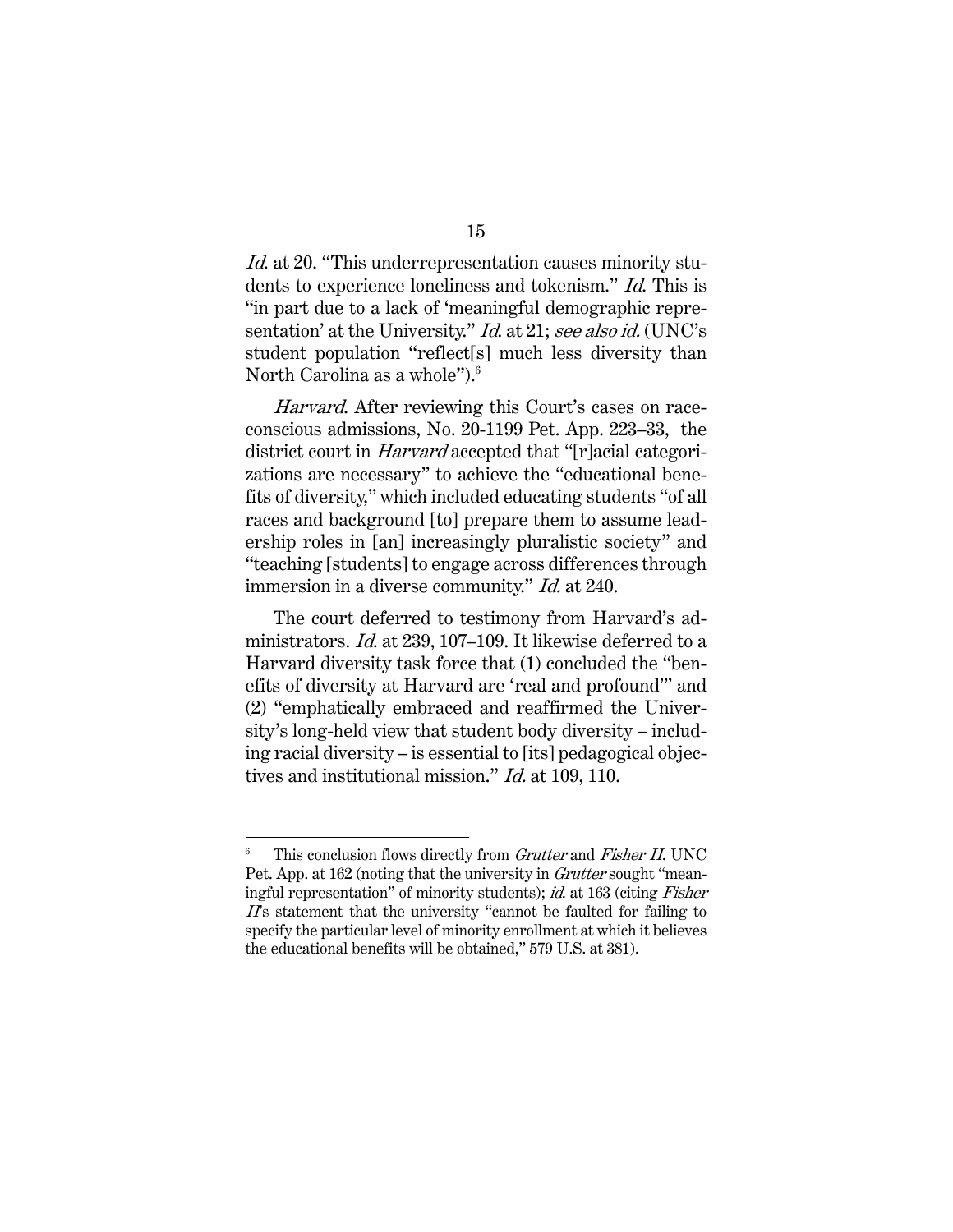Id. at 20. "This underrepresentation causes minority students to experience loneliness and tokenism." Id. This is "in part due to a lack of 'meaningful demographic representation' at the University." *Id.* at 21; see also id. (UNC's student population "reflect[s] much less diversity than North Carolina as a whole").<sup>6</sup>

Harvard. After reviewing this Court's cases on raceconscious admissions, No. 20-1199 Pet. App. 223–33, the district court in *Harvard* accepted that "[r]acial categorizations are necessary" to achieve the "educational benefits of diversity," which included educating students "of all races and background [to] prepare them to assume leadership roles in [an] increasingly pluralistic society" and "teaching [students] to engage across differences through immersion in a diverse community." *Id.* at 240.

The court deferred to testimony from Harvard's administrators. Id. at 239, 107–109. It likewise deferred to a Harvard diversity task force that (1) concluded the "benefits of diversity at Harvard are 'real and profound'" and (2) "emphatically embraced and reaffirmed the University's long-held view that student body diversity – including racial diversity – is essential to [its] pedagogical objectives and institutional mission." Id. at 109, 110.

This conclusion flows directly from Grutter and Fisher II. UNC Pet. App. at 162 (noting that the university in *Grutter* sought "meaningful representation" of minority students); id. at 163 (citing Fisher II's statement that the university "cannot be faulted for failing to specify the particular level of minority enrollment at which it believes the educational benefits will be obtained," 579 U.S. at 381).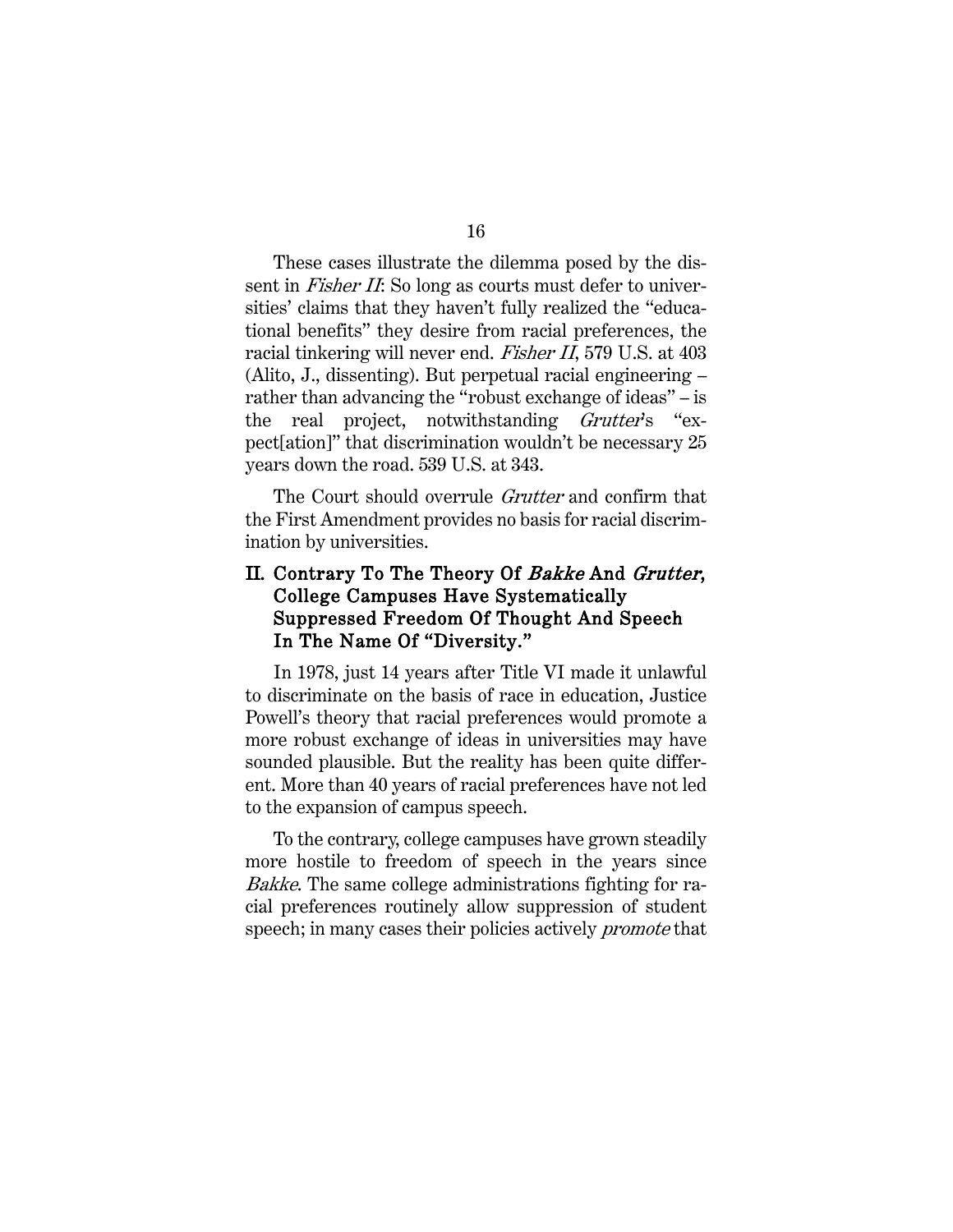These cases illustrate the dilemma posed by the dissent in *Fisher II*: So long as courts must defer to universities' claims that they haven't fully realized the "educational benefits" they desire from racial preferences, the racial tinkering will never end. Fisher II, 579 U.S. at 403 (Alito, J., dissenting). But perpetual racial engineering – rather than advancing the "robust exchange of ideas" – is the real project, notwithstanding Grutter's "expect[ation]" that discrimination wouldn't be necessary 25 years down the road. 539 U.S. at 343.

The Court should overrule *Grutter* and confirm that the First Amendment provides no basis for racial discrimination by universities.

## II. Contrary To The Theory Of Bakke And Grutter, College Campuses Have Systematically Suppressed Freedom Of Thought And Speech In The Name Of "Diversity."

In 1978, just 14 years after Title VI made it unlawful to discriminate on the basis of race in education, Justice Powell's theory that racial preferences would promote a more robust exchange of ideas in universities may have sounded plausible. But the reality has been quite different. More than 40 years of racial preferences have not led to the expansion of campus speech.

To the contrary, college campuses have grown steadily more hostile to freedom of speech in the years since Bakke. The same college administrations fighting for racial preferences routinely allow suppression of student speech; in many cases their policies actively *promote* that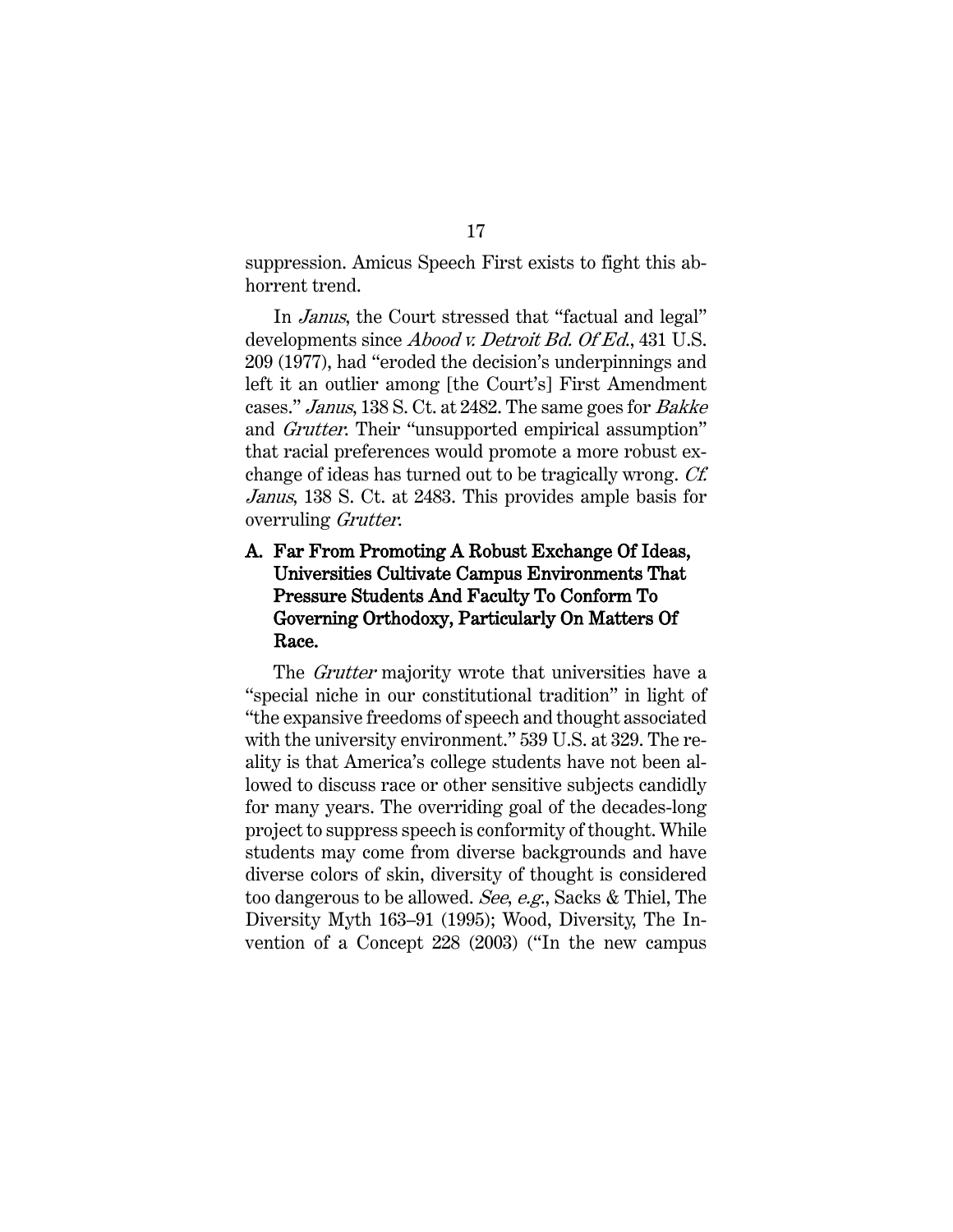suppression. Amicus Speech First exists to fight this abhorrent trend.

In Janus, the Court stressed that "factual and legal" developments since *Abood v. Detroit Bd. Of Ed.*, 431 U.S. 209 (1977), had "eroded the decision's underpinnings and left it an outlier among [the Court's] First Amendment cases." Janus, 138 S. Ct. at 2482. The same goes for Bakke and Grutter. Their "unsupported empirical assumption" that racial preferences would promote a more robust exchange of ideas has turned out to be tragically wrong. Cf. Janus, 138 S. Ct. at 2483. This provides ample basis for overruling Grutter.

## A. Far From Promoting A Robust Exchange Of Ideas, Universities Cultivate Campus Environments That Pressure Students And Faculty To Conform To Governing Orthodoxy, Particularly On Matters Of Race.

The *Grutter* majority wrote that universities have a "special niche in our constitutional tradition" in light of "the expansive freedoms of speech and thought associated with the university environment." 539 U.S. at 329. The reality is that America's college students have not been allowed to discuss race or other sensitive subjects candidly for many years. The overriding goal of the decades-long project to suppress speech is conformity of thought. While students may come from diverse backgrounds and have diverse colors of skin, diversity of thought is considered too dangerous to be allowed. See, e.g., Sacks & Thiel, The Diversity Myth 163–91 (1995); Wood, Diversity, The Invention of a Concept 228 (2003) ("In the new campus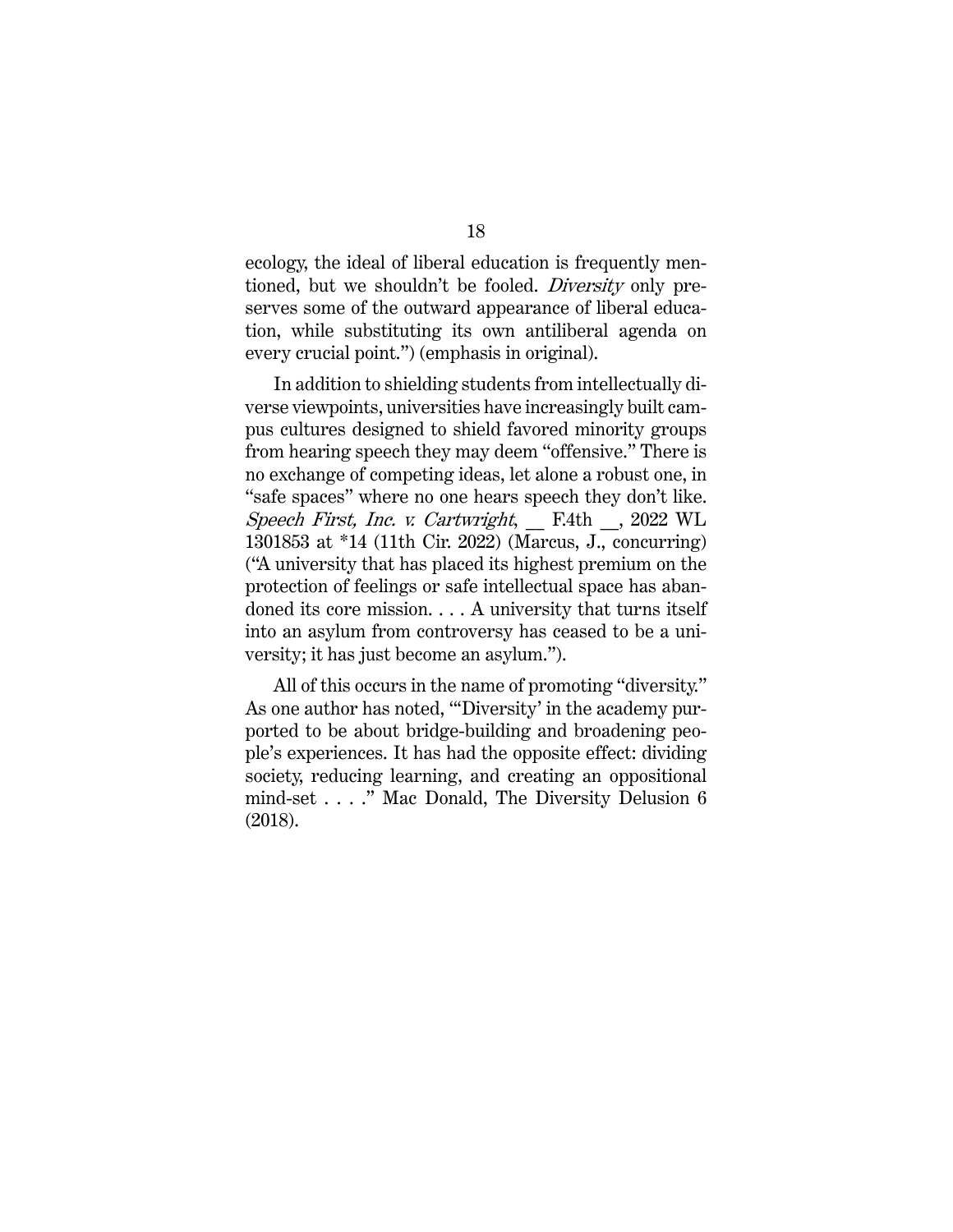ecology, the ideal of liberal education is frequently mentioned, but we shouldn't be fooled. *Diversity* only preserves some of the outward appearance of liberal education, while substituting its own antiliberal agenda on every crucial point.") (emphasis in original).

In addition to shielding students from intellectually diverse viewpoints, universities have increasingly built campus cultures designed to shield favored minority groups from hearing speech they may deem "offensive." There is no exchange of competing ideas, let alone a robust one, in "safe spaces" where no one hears speech they don't like. Speech First, Inc. v. Cartwright, \_\_ F.4th \_\_, 2022 WL 1301853 at \*14 (11th Cir. 2022) (Marcus, J., concurring) ("A university that has placed its highest premium on the protection of feelings or safe intellectual space has abandoned its core mission. . . . A university that turns itself into an asylum from controversy has ceased to be a university; it has just become an asylum.").

All of this occurs in the name of promoting "diversity." As one author has noted, "'Diversity' in the academy purported to be about bridge-building and broadening people's experiences. It has had the opposite effect: dividing society, reducing learning, and creating an oppositional mind-set . . . ." Mac Donald, The Diversity Delusion 6 (2018).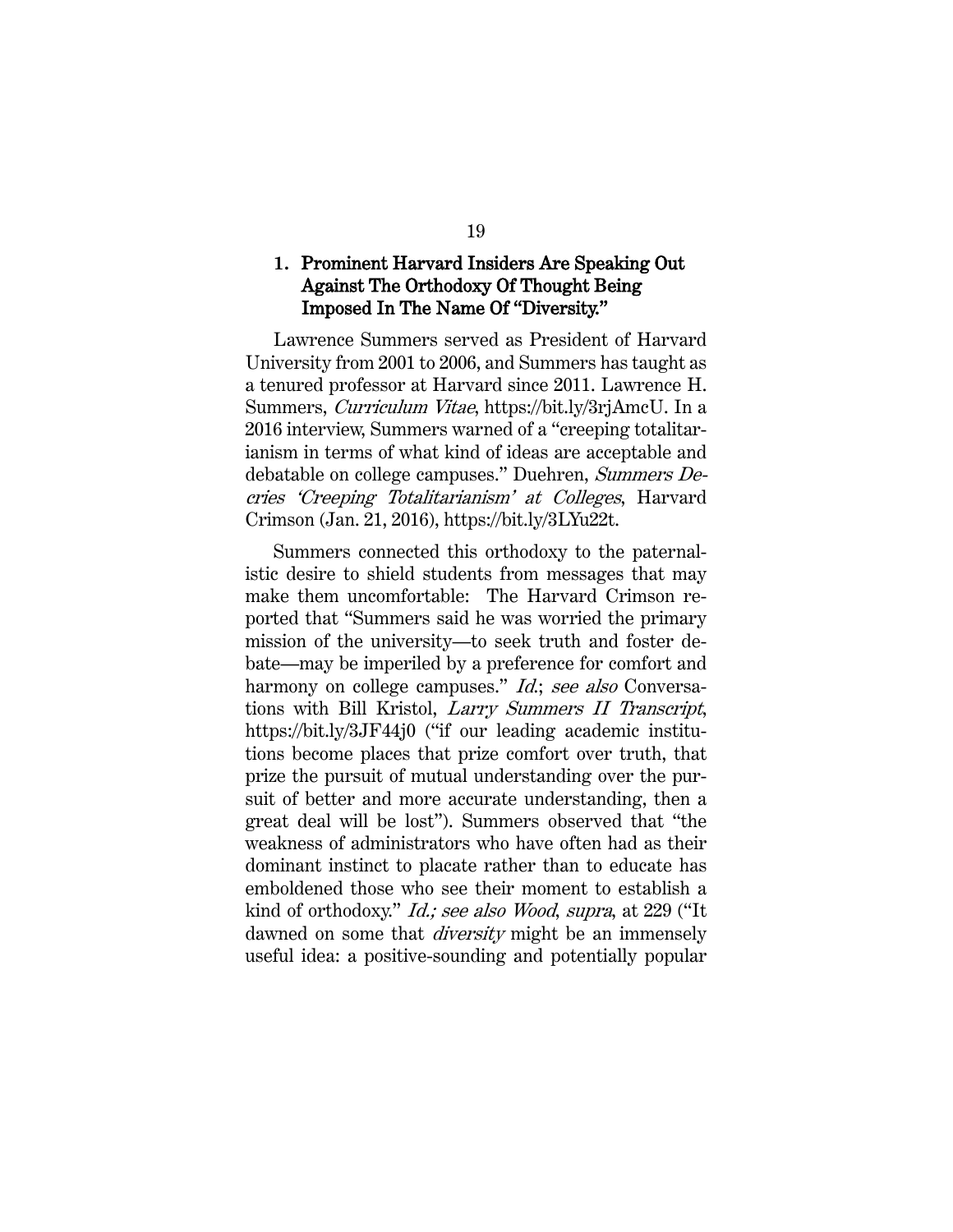### **1.** Prominent Harvard Insiders Are Speaking Out Against The Orthodoxy Of Thought Being Imposed In The Name Of "Diversity."

Lawrence Summers served as President of Harvard University from 2001 to 2006, and Summers has taught as a tenured professor at Harvard since 2011. Lawrence H. Summers, Curriculum Vitae, https://bit.ly/3rjAmcU. In a 2016 interview, Summers warned of a "creeping totalitarianism in terms of what kind of ideas are acceptable and debatable on college campuses." Duehren, Summers Decries 'Creeping Totalitarianism' at Colleges, Harvard Crimson (Jan. 21, 2016), https://bit.ly/3LYu22t.

Summers connected this orthodoxy to the paternalistic desire to shield students from messages that may make them uncomfortable: The Harvard Crimson reported that "Summers said he was worried the primary mission of the university—to seek truth and foster debate—may be imperiled by a preference for comfort and harmony on college campuses." *Id.*; see also Conversations with Bill Kristol, Larry Summers II Transcript, https://bit.ly/3JF44j0 ("if our leading academic institutions become places that prize comfort over truth, that prize the pursuit of mutual understanding over the pursuit of better and more accurate understanding, then a great deal will be lost"). Summers observed that "the weakness of administrators who have often had as their dominant instinct to placate rather than to educate has emboldened those who see their moment to establish a kind of orthodoxy." Id.; see also Wood, supra, at 229 ("It dawned on some that *diversity* might be an immensely useful idea: a positive-sounding and potentially popular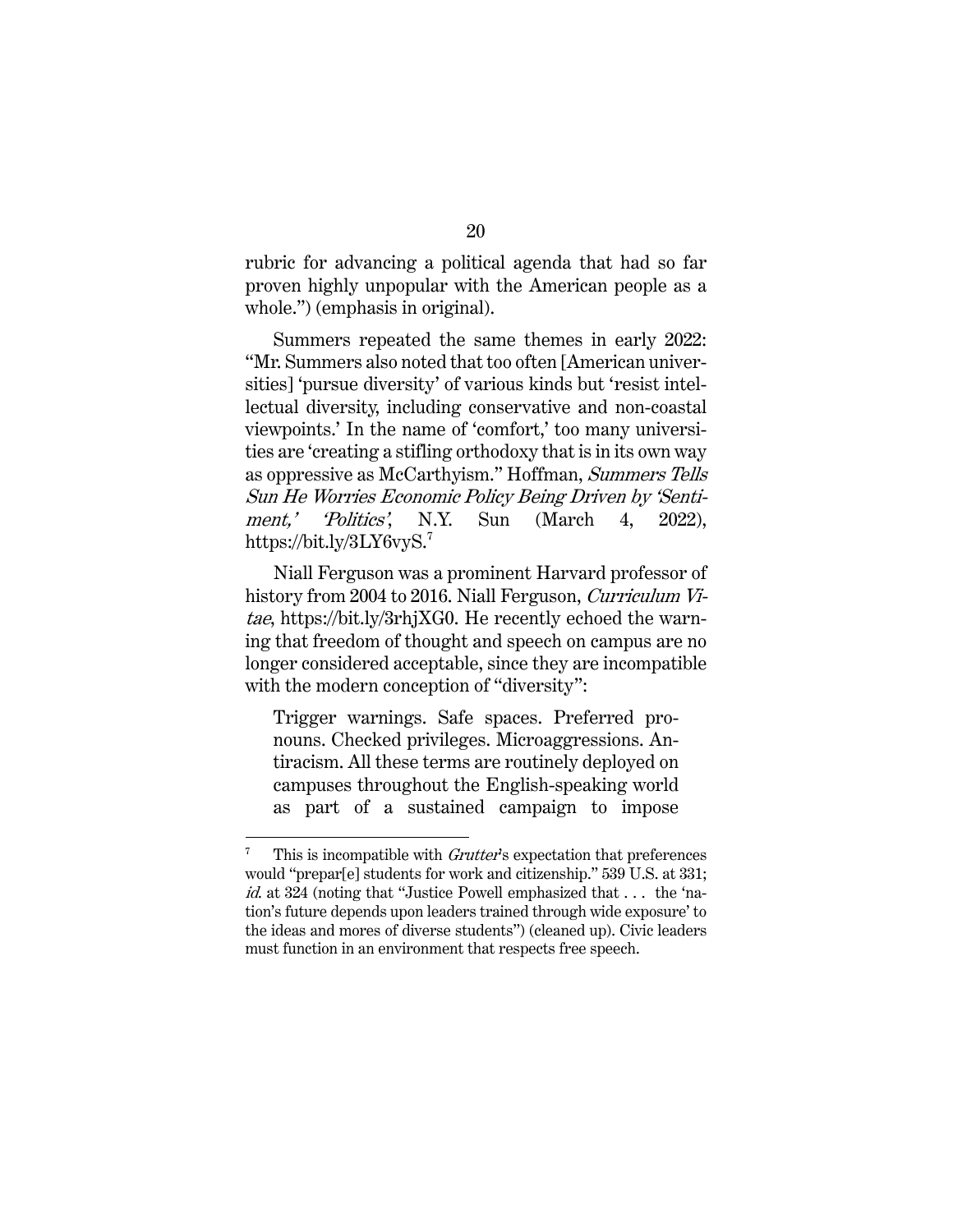rubric for advancing a political agenda that had so far proven highly unpopular with the American people as a whole.") (emphasis in original).

Summers repeated the same themes in early 2022: "Mr. Summers also noted that too often [American universities] 'pursue diversity' of various kinds but 'resist intellectual diversity, including conservative and non-coastal viewpoints.' In the name of 'comfort,' too many universities are 'creating a stifling orthodoxy that is in its own way as oppressive as McCarthyism." Hoffman, Summers Tells Sun He Worries Economic Policy Being Driven by 'Sentiment,' 'Politics', N.Y. Sun (March 4, 2022), https://bit.ly/3LY6vyS.<sup>7</sup>

Niall Ferguson was a prominent Harvard professor of history from 2004 to 2016. Niall Ferguson, *Curriculum Vi*tae, https://bit.ly/3rhjXG0. He recently echoed the warning that freedom of thought and speech on campus are no longer considered acceptable, since they are incompatible with the modern conception of "diversity":

Trigger warnings. Safe spaces. Preferred pronouns. Checked privileges. Microaggressions. Antiracism. All these terms are routinely deployed on campuses throughout the English-speaking world as part of a sustained campaign to impose

 $7$  This is incompatible with *Grutter's* expectation that preferences would "prepar[e] students for work and citizenship." 539 U.S. at 331; id. at 324 (noting that "Justice Powell emphasized that . . . the 'nation's future depends upon leaders trained through wide exposure' to the ideas and mores of diverse students") (cleaned up). Civic leaders must function in an environment that respects free speech.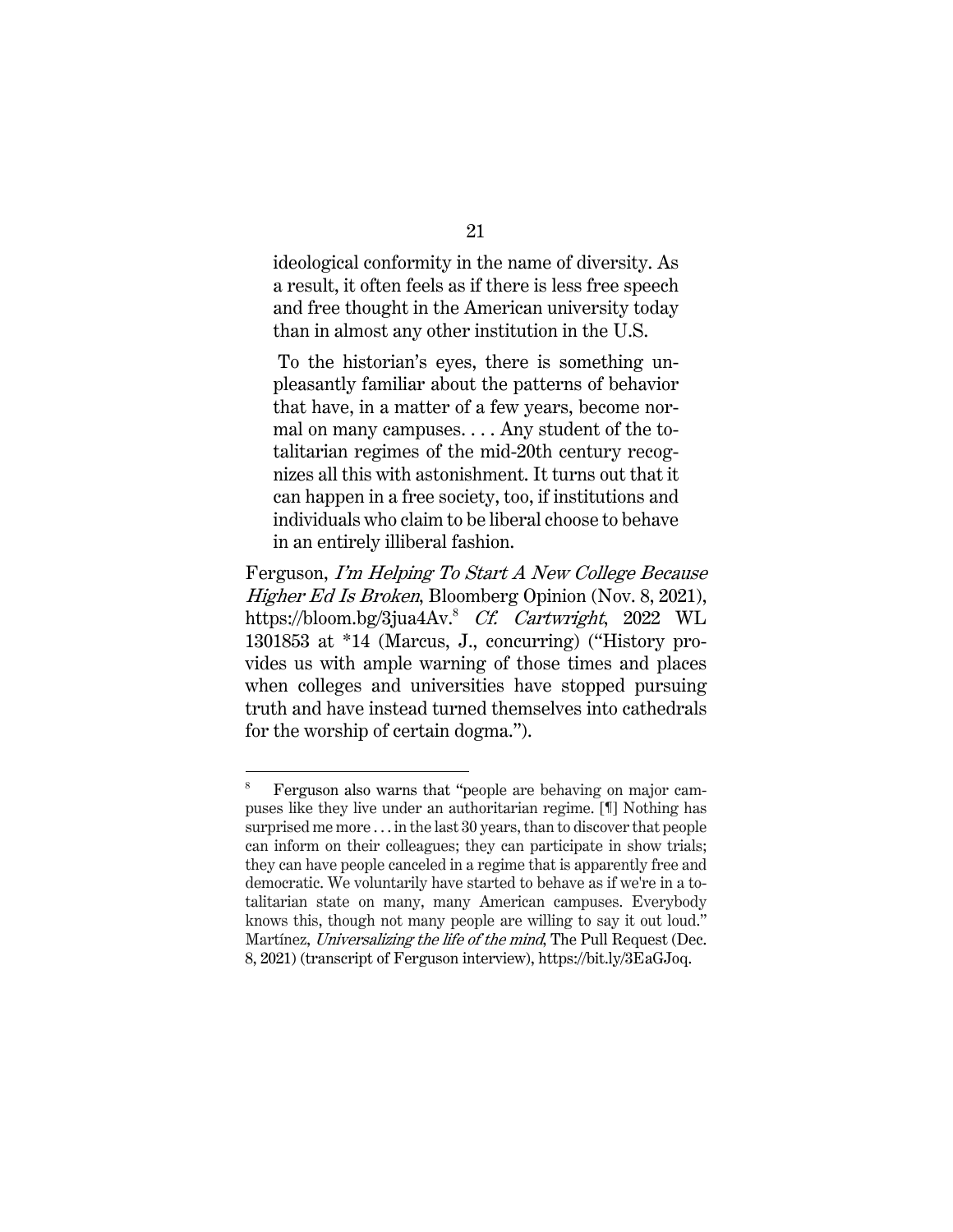ideological conformity in the name of diversity. As a result, it often feels as if there is less free speech and free thought in the American university today than in almost any other institution in the U.S.

To the historian's eyes, there is something unpleasantly familiar about the patterns of behavior that have, in a matter of a few years, become normal on many campuses. . . . Any student of the totalitarian regimes of the mid-20th century recognizes all this with astonishment. It turns out that it can happen in a free society, too, if institutions and individuals who claim to be liberal choose to behave in an entirely illiberal fashion.

Ferguson, I'm Helping To Start A New College Because Higher Ed Is Broken, Bloomberg Opinion (Nov. 8, 2021), https://bloom.bg/3jua4Av.<sup>8</sup> Cf. Cartwright, 2022 WL 1301853 at \*14 (Marcus, J., concurring) ("History provides us with ample warning of those times and places when colleges and universities have stopped pursuing truth and have instead turned themselves into cathedrals for the worship of certain dogma.").

<sup>&</sup>lt;sup>8</sup> Ferguson also warns that "people are behaving on major campuses like they live under an authoritarian regime. [¶] Nothing has surprised me more . . . in the last 30 years, than to discover that people can inform on their colleagues; they can participate in show trials; they can have people canceled in a regime that is apparently free and democratic. We voluntarily have started to behave as if we're in a totalitarian state on many, many American campuses. Everybody knows this, though not many people are willing to say it out loud." Martínez, Universalizing the life of the mind, The Pull Request (Dec. 8, 2021) (transcript of Ferguson interview), https://bit.ly/3EaGJoq.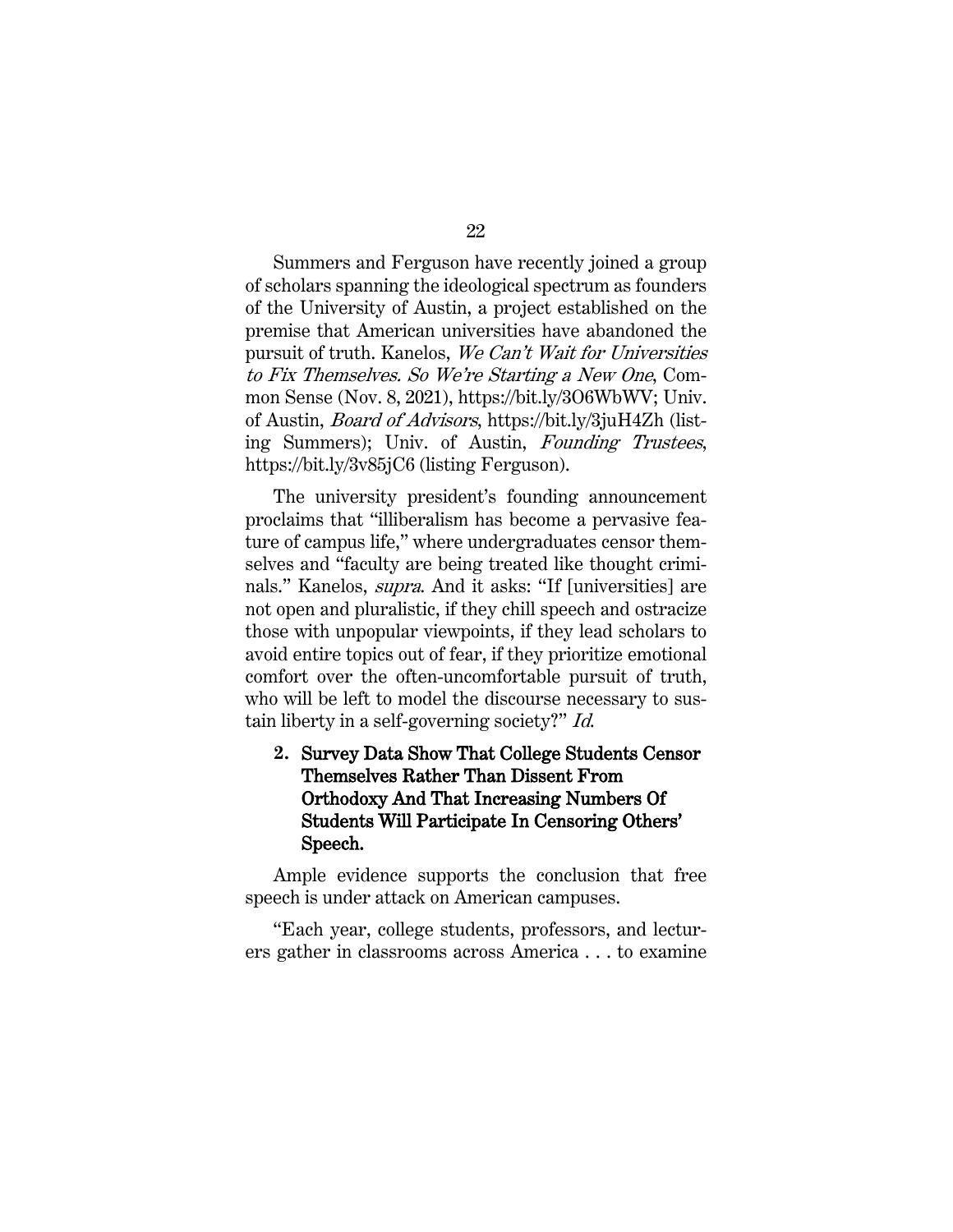Summers and Ferguson have recently joined a group of scholars spanning the ideological spectrum as founders of the University of Austin, a project established on the premise that American universities have abandoned the pursuit of truth. Kanelos, We Can't Wait for Universities to Fix Themselves. So We're Starting a New One, Common Sense (Nov. 8, 2021), https://bit.ly/3O6WbWV; Univ. of Austin, Board of Advisors, https://bit.ly/3juH4Zh (listing Summers); Univ. of Austin, Founding Trustees, https://bit.ly/3v85jC6 (listing Ferguson).

The university president's founding announcement proclaims that "illiberalism has become a pervasive feature of campus life," where undergraduates censor themselves and "faculty are being treated like thought criminals." Kanelos, *supra*. And it asks: "If [universities] are not open and pluralistic, if they chill speech and ostracize those with unpopular viewpoints, if they lead scholars to avoid entire topics out of fear, if they prioritize emotional comfort over the often-uncomfortable pursuit of truth, who will be left to model the discourse necessary to sustain liberty in a self-governing society?" Id.

**2.** Survey Data Show That College Students Censor Themselves Rather Than Dissent From Orthodoxy And That Increasing Numbers Of Students Will Participate In Censoring Others' Speech.

Ample evidence supports the conclusion that free speech is under attack on American campuses.

"Each year, college students, professors, and lecturers gather in classrooms across America . . . to examine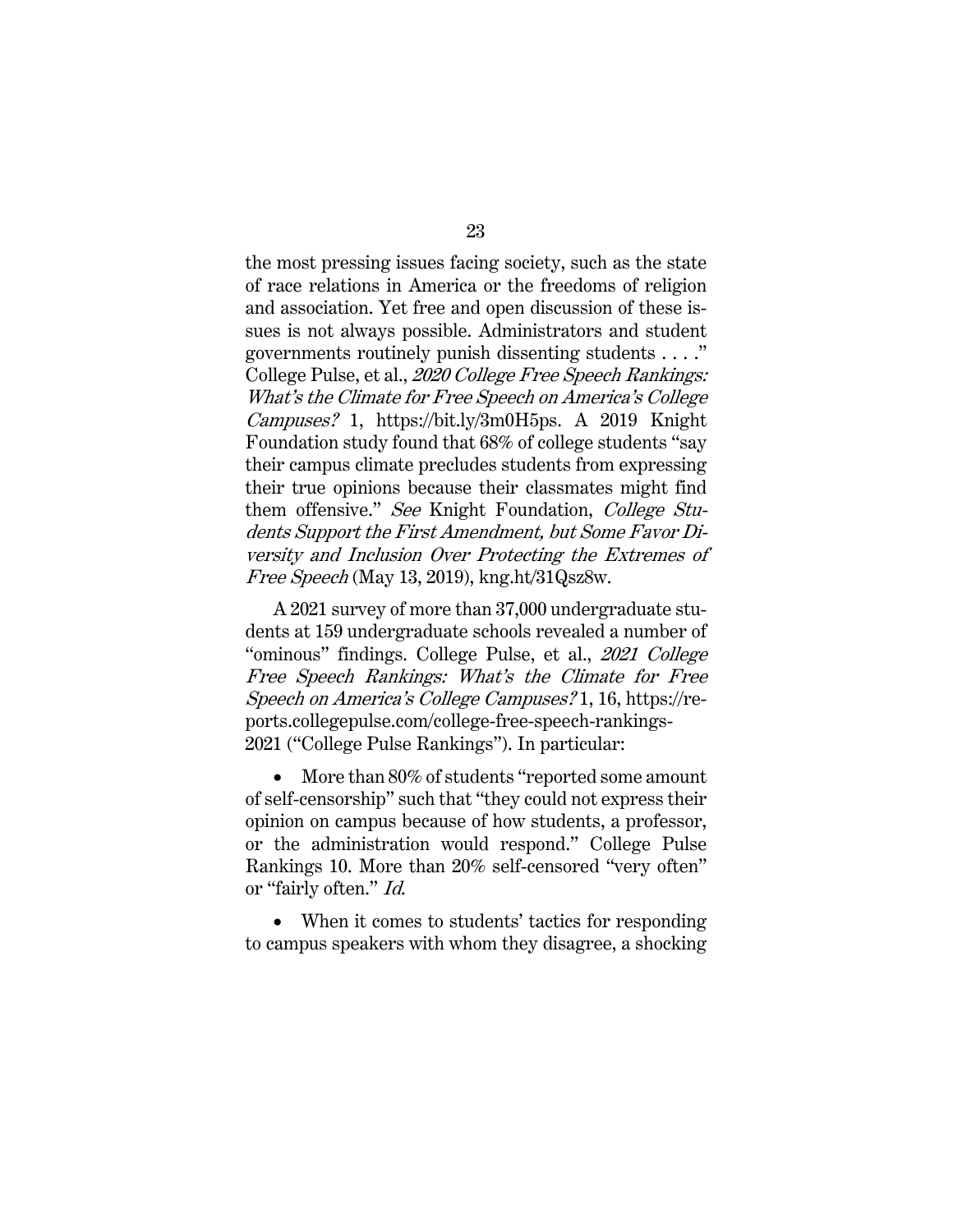the most pressing issues facing society, such as the state of race relations in America or the freedoms of religion and association. Yet free and open discussion of these issues is not always possible. Administrators and student governments routinely punish dissenting students . . . ." College Pulse, et al., 2020 College Free Speech Rankings: What's the Climate for Free Speech on America's College Campuses? 1, https://bit.ly/3m0H5ps. A 2019 Knight Foundation study found that 68% of college students "say their campus climate precludes students from expressing their true opinions because their classmates might find them offensive." See Knight Foundation, College Students Support the First Amendment, but Some Favor Diversity and Inclusion Over Protecting the Extremes of Free Speech (May 13, 2019), kng.ht/31Qsz8w.

A 2021 survey of more than 37,000 undergraduate students at 159 undergraduate schools revealed a number of "ominous" findings. College Pulse, et al., 2021 College Free Speech Rankings: What's the Climate for Free Speech on America's College Campuses? 1, 16, https://reports.collegepulse.com/college-free-speech-rankings-2021 ("College Pulse Rankings"). In particular:

More than 80% of students "reported some amount of self-censorship" such that "they could not express their opinion on campus because of how students, a professor, or the administration would respond." College Pulse Rankings 10. More than 20% self-censored "very often" or "fairly often." Id.

• When it comes to students' tactics for responding to campus speakers with whom they disagree, a shocking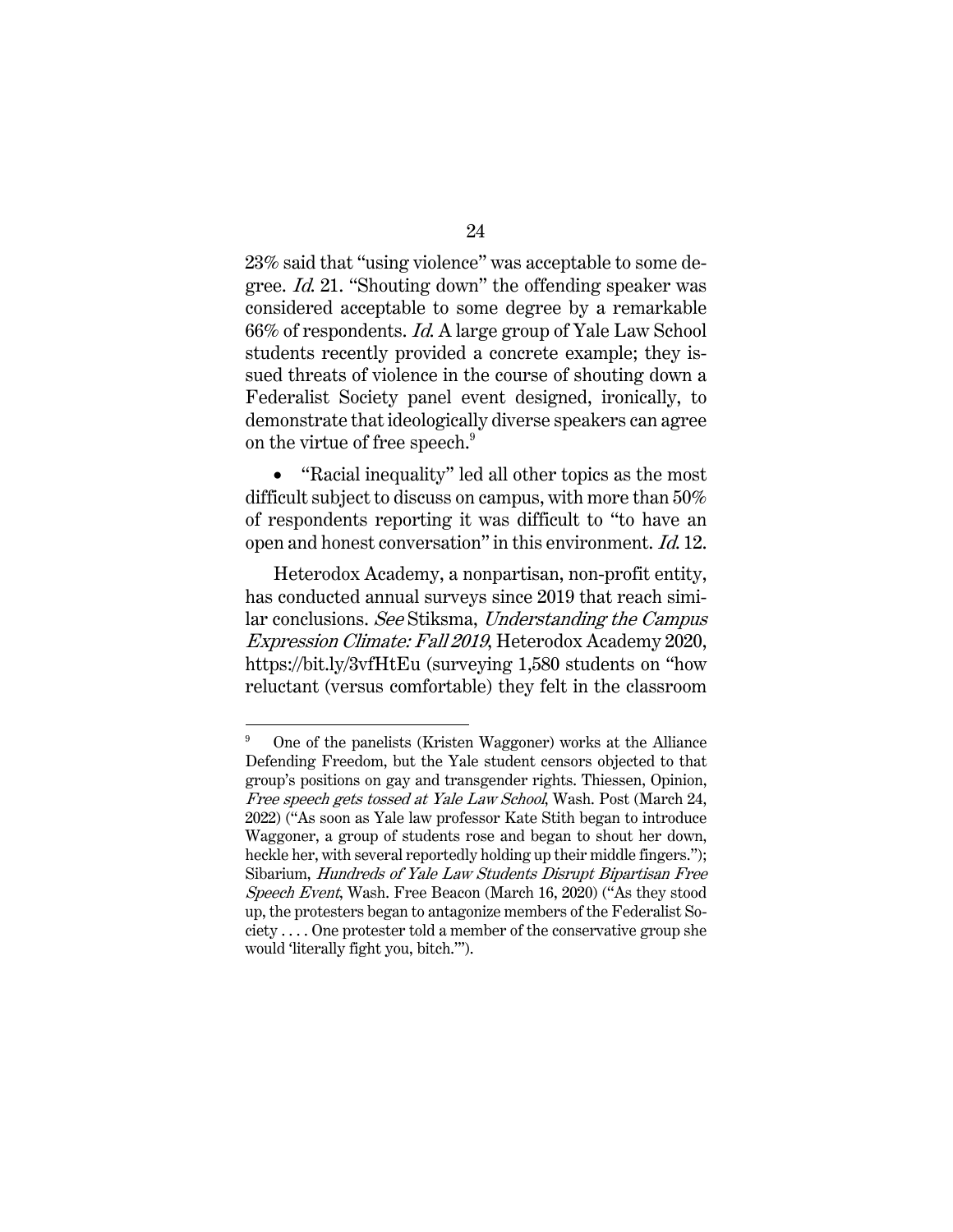23% said that "using violence" was acceptable to some degree. Id. 21. "Shouting down" the offending speaker was considered acceptable to some degree by a remarkable 66% of respondents. Id. A large group of Yale Law School students recently provided a concrete example; they issued threats of violence in the course of shouting down a Federalist Society panel event designed, ironically, to demonstrate that ideologically diverse speakers can agree on the virtue of free speech.<sup>9</sup>

• "Racial inequality" led all other topics as the most difficult subject to discuss on campus, with more than 50% of respondents reporting it was difficult to "to have an open and honest conversation" in this environment. Id. 12.

Heterodox Academy, a nonpartisan, non-profit entity, has conducted annual surveys since 2019 that reach similar conclusions. See Stiksma, Understanding the Campus Expression Climate: Fall 2019, Heterodox Academy 2020, https://bit.ly/3vfHtEu (surveying 1,580 students on "how reluctant (versus comfortable) they felt in the classroom

<sup>9</sup> One of the panelists (Kristen Waggoner) works at the Alliance Defending Freedom, but the Yale student censors objected to that group's positions on gay and transgender rights. Thiessen, Opinion, Free speech gets tossed at Yale Law School, Wash. Post (March 24, 2022) ("As soon as Yale law professor Kate Stith began to introduce Waggoner, a group of students rose and began to shout her down, heckle her, with several reportedly holding up their middle fingers."); Sibarium, Hundreds of Yale Law Students Disrupt Bipartisan Free Speech Event, Wash. Free Beacon (March 16, 2020) ("As they stood up, the protesters began to antagonize members of the Federalist So $ciety \ldots$  One protester told a member of the conservative group she would 'literally fight you, bitch.'").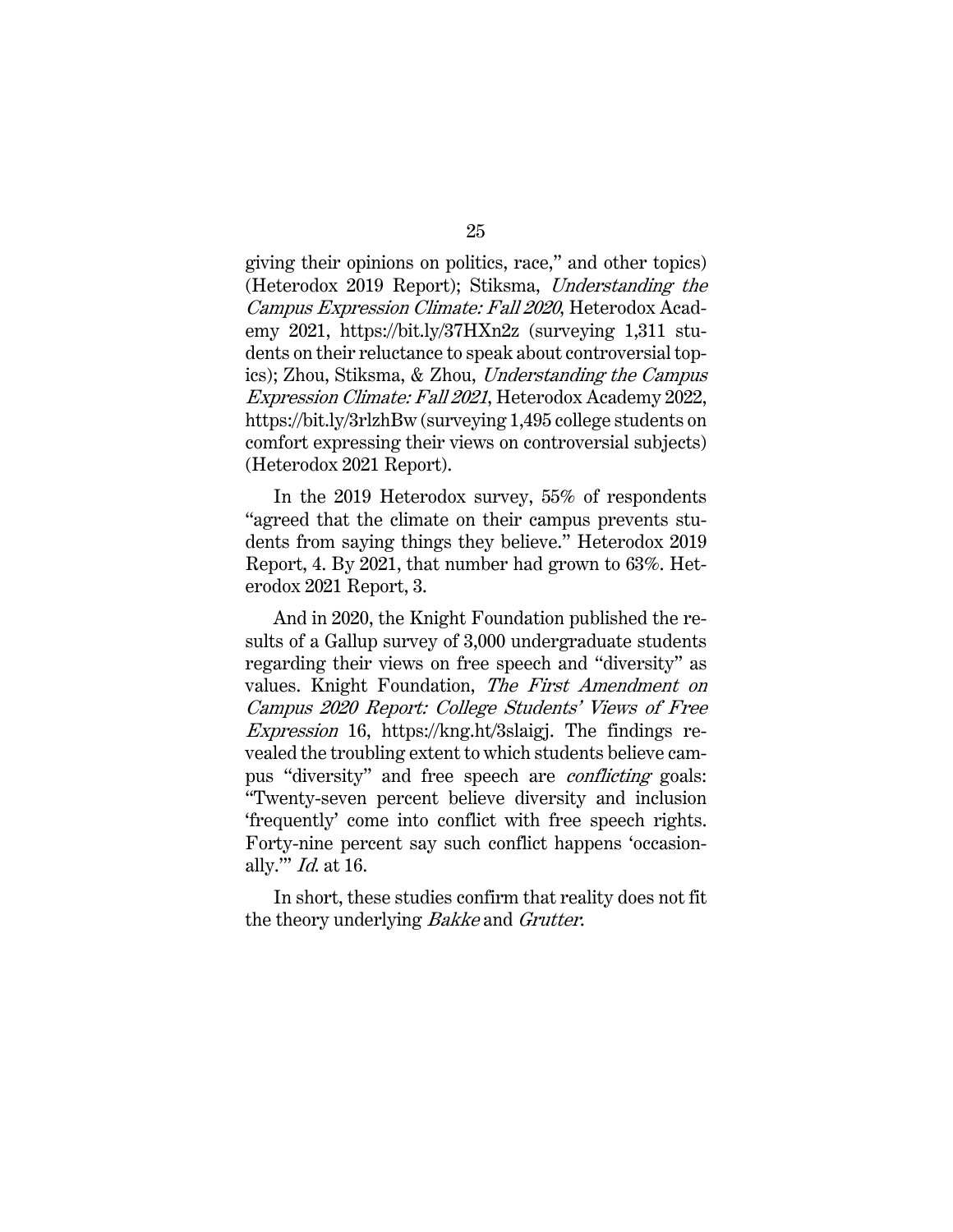giving their opinions on politics, race," and other topics) (Heterodox 2019 Report); Stiksma, Understanding the Campus Expression Climate: Fall 2020, Heterodox Academy 2021, https://bit.ly/37HXn2z (surveying 1,311 students on their reluctance to speak about controversial topics); Zhou, Stiksma, & Zhou, Understanding the Campus Expression Climate: Fall 2021, Heterodox Academy 2022, https://bit.ly/3rlzhBw (surveying 1,495 college students on comfort expressing their views on controversial subjects) (Heterodox 2021 Report).

In the 2019 Heterodox survey, 55% of respondents "agreed that the climate on their campus prevents students from saying things they believe." Heterodox 2019 Report, 4. By 2021, that number had grown to 63%. Heterodox 2021 Report, 3.

And in 2020, the Knight Foundation published the results of a Gallup survey of 3,000 undergraduate students regarding their views on free speech and "diversity" as values. Knight Foundation, The First Amendment on Campus 2020 Report: College Students' Views of Free Expression 16, https://kng.ht/3slaigj. The findings revealed the troubling extent to which students believe campus "diversity" and free speech are conflicting goals: "Twenty-seven percent believe diversity and inclusion 'frequently' come into conflict with free speech rights. Forty-nine percent say such conflict happens 'occasionally.'" Id. at 16.

In short, these studies confirm that reality does not fit the theory underlying Bakke and Grutter.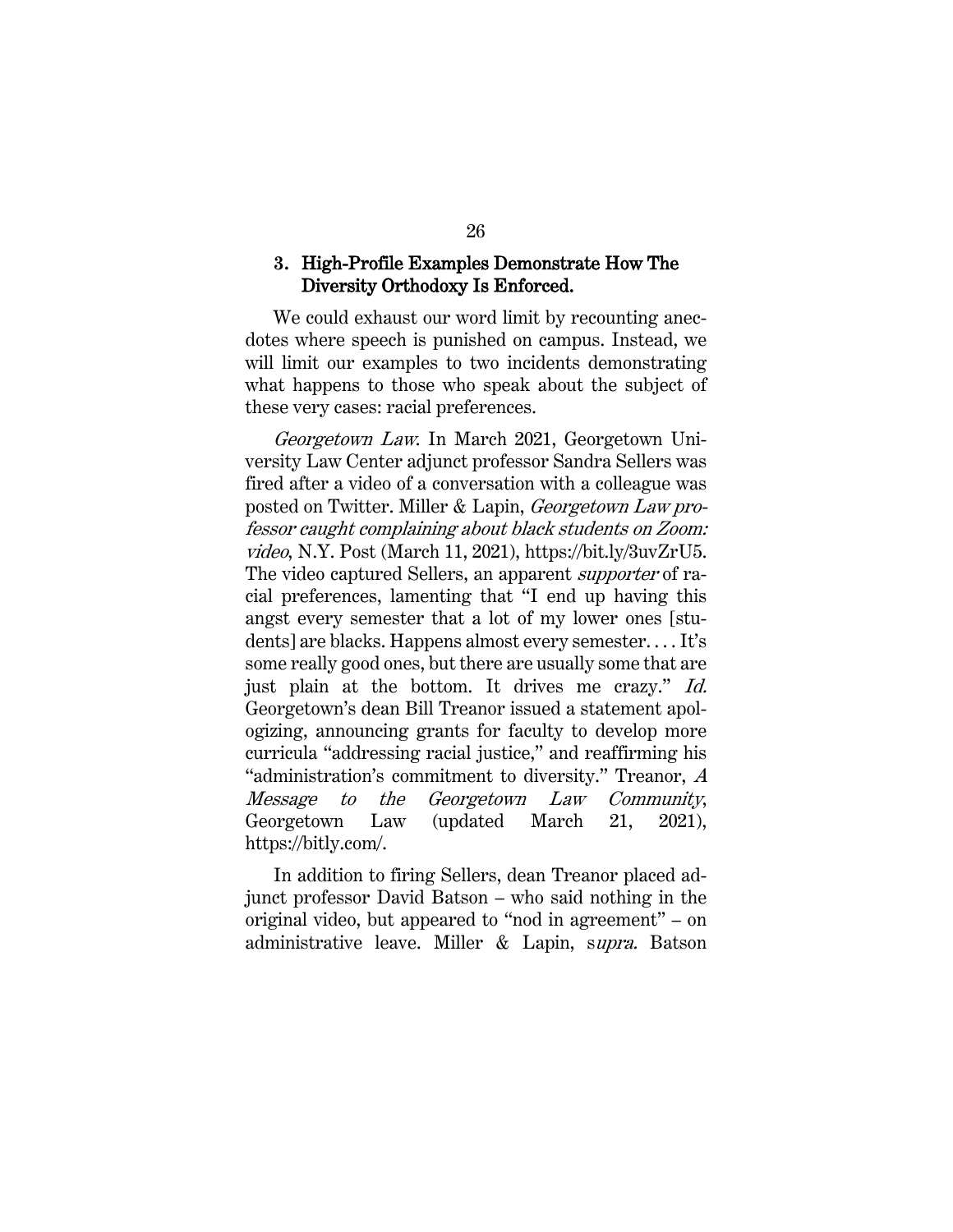### **3.** High-Profile Examples Demonstrate How The Diversity Orthodoxy Is Enforced.

We could exhaust our word limit by recounting anecdotes where speech is punished on campus. Instead, we will limit our examples to two incidents demonstrating what happens to those who speak about the subject of these very cases: racial preferences.

Georgetown Law. In March 2021, Georgetown University Law Center adjunct professor Sandra Sellers was fired after a video of a conversation with a colleague was posted on Twitter. Miller & Lapin, Georgetown Law professor caught complaining about black students on Zoom: video, N.Y. Post (March 11, 2021), https://bit.ly/3uvZrU5. The video captured Sellers, an apparent *supporter* of racial preferences, lamenting that "I end up having this angst every semester that a lot of my lower ones [students] are blacks. Happens almost every semester. . . . It's some really good ones, but there are usually some that are just plain at the bottom. It drives me crazy." Id. Georgetown's dean Bill Treanor issued a statement apologizing, announcing grants for faculty to develop more curricula "addressing racial justice," and reaffirming his "administration's commitment to diversity." Treanor, A Message to the Georgetown Law Community, Georgetown Law (updated March 21, 2021), https://bitly.com/.

In addition to firing Sellers, dean Treanor placed adjunct professor David Batson – who said nothing in the original video, but appeared to "nod in agreement" – on administrative leave. Miller & Lapin, supra. Batson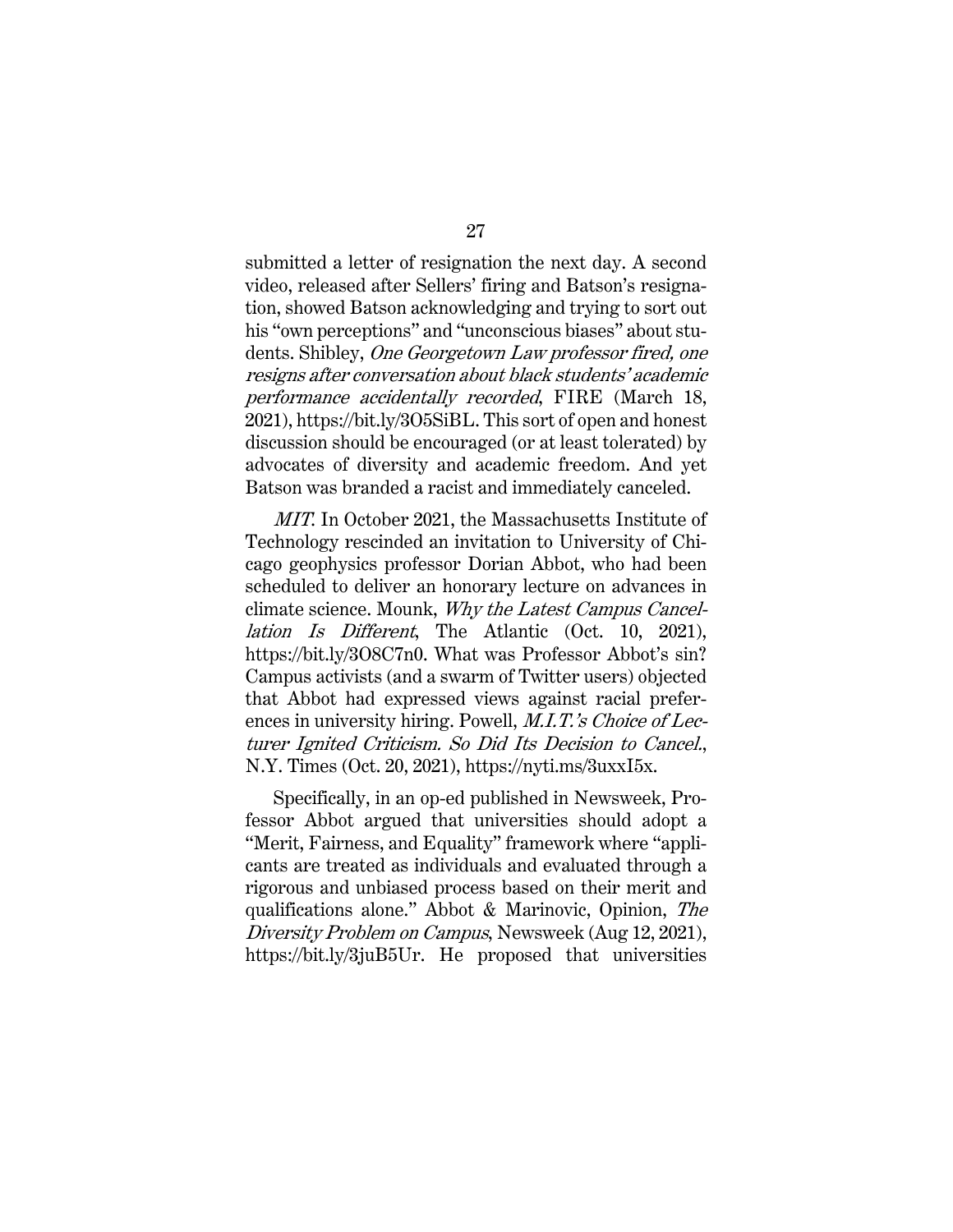submitted a letter of resignation the next day. A second video, released after Sellers' firing and Batson's resignation, showed Batson acknowledging and trying to sort out his "own perceptions" and "unconscious biases" about students. Shibley, One Georgetown Law professor fired, one resigns after conversation about black students' academic performance accidentally recorded, FIRE (March 18, 2021), https://bit.ly/3O5SiBL. This sort of open and honest discussion should be encouraged (or at least tolerated) by advocates of diversity and academic freedom. And yet Batson was branded a racist and immediately canceled.

MIT. In October 2021, the Massachusetts Institute of Technology rescinded an invitation to University of Chicago geophysics professor Dorian Abbot, who had been scheduled to deliver an honorary lecture on advances in climate science. Mounk, Why the Latest Campus Cancellation Is Different, The Atlantic (Oct. 10, 2021), https://bit.ly/3O8C7n0. What was Professor Abbot's sin? Campus activists (and a swarm of Twitter users) objected that Abbot had expressed views against racial preferences in university hiring. Powell, *M.I.T.'s Choice of Lec*turer Ignited Criticism. So Did Its Decision to Cancel., N.Y. Times (Oct. 20, 2021), https://nyti.ms/3uxxI5x.

Specifically, in an op-ed published in Newsweek, Professor Abbot argued that universities should adopt a "Merit, Fairness, and Equality" framework where "applicants are treated as individuals and evaluated through a rigorous and unbiased process based on their merit and qualifications alone." Abbot & Marinovic, Opinion, The Diversity Problem on Campus, Newsweek (Aug 12, 2021), https://bit.ly/3juB5Ur. He proposed that universities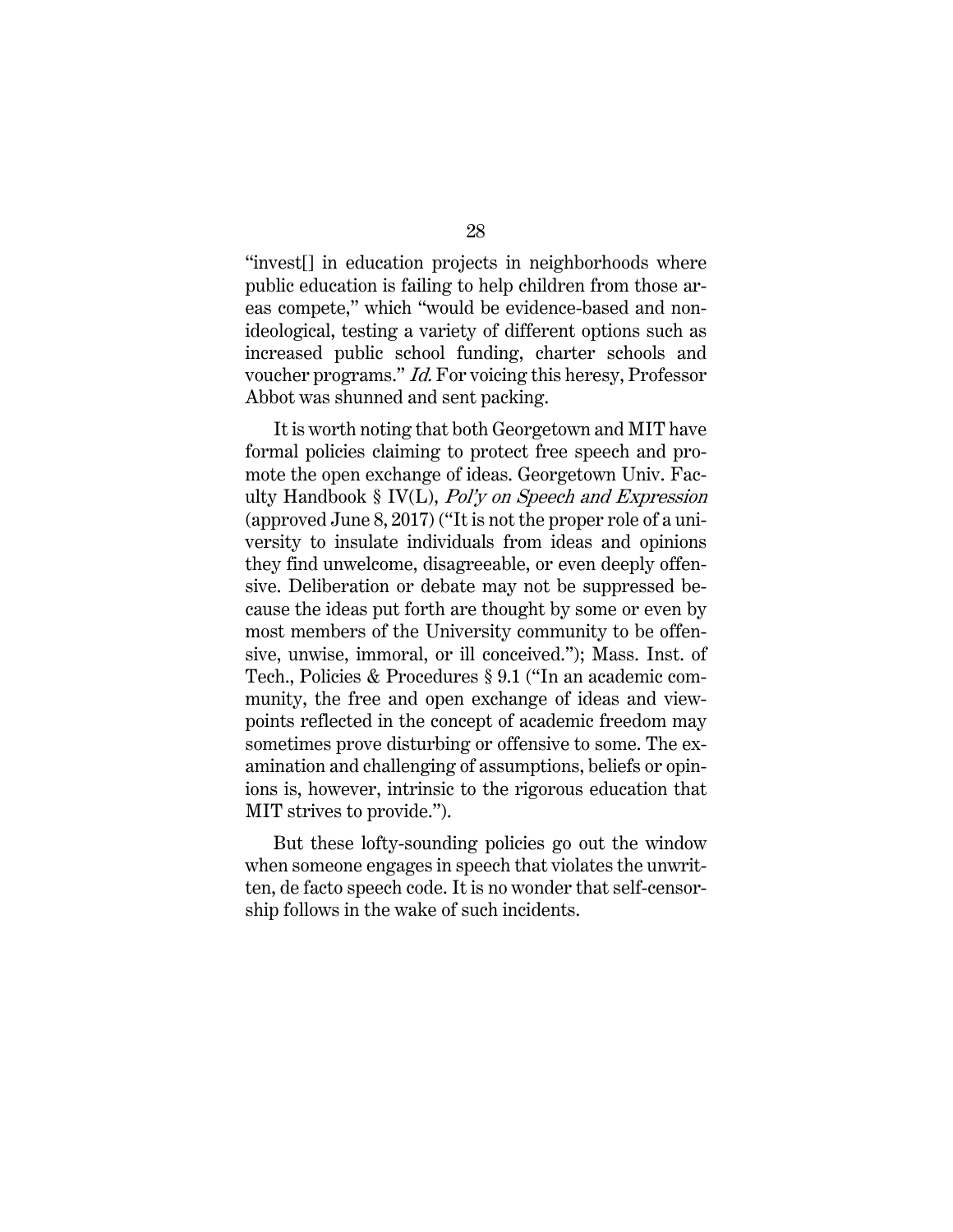"invest[] in education projects in neighborhoods where public education is failing to help children from those areas compete," which "would be evidence-based and nonideological, testing a variety of different options such as increased public school funding, charter schools and voucher programs." Id. For voicing this heresy, Professor Abbot was shunned and sent packing.

It is worth noting that both Georgetown and MIT have formal policies claiming to protect free speech and promote the open exchange of ideas. Georgetown Univ. Faculty Handbook § IV(L),  $Pol'v$  on Speech and Expression (approved June 8, 2017) ("It is not the proper role of a university to insulate individuals from ideas and opinions they find unwelcome, disagreeable, or even deeply offensive. Deliberation or debate may not be suppressed because the ideas put forth are thought by some or even by most members of the University community to be offensive, unwise, immoral, or ill conceived."); Mass. Inst. of Tech., Policies & Procedures § 9.1 ("In an academic community, the free and open exchange of ideas and viewpoints reflected in the concept of academic freedom may sometimes prove disturbing or offensive to some. The examination and challenging of assumptions, beliefs or opinions is, however, intrinsic to the rigorous education that MIT strives to provide.").

But these lofty-sounding policies go out the window when someone engages in speech that violates the unwritten, de facto speech code. It is no wonder that self-censorship follows in the wake of such incidents.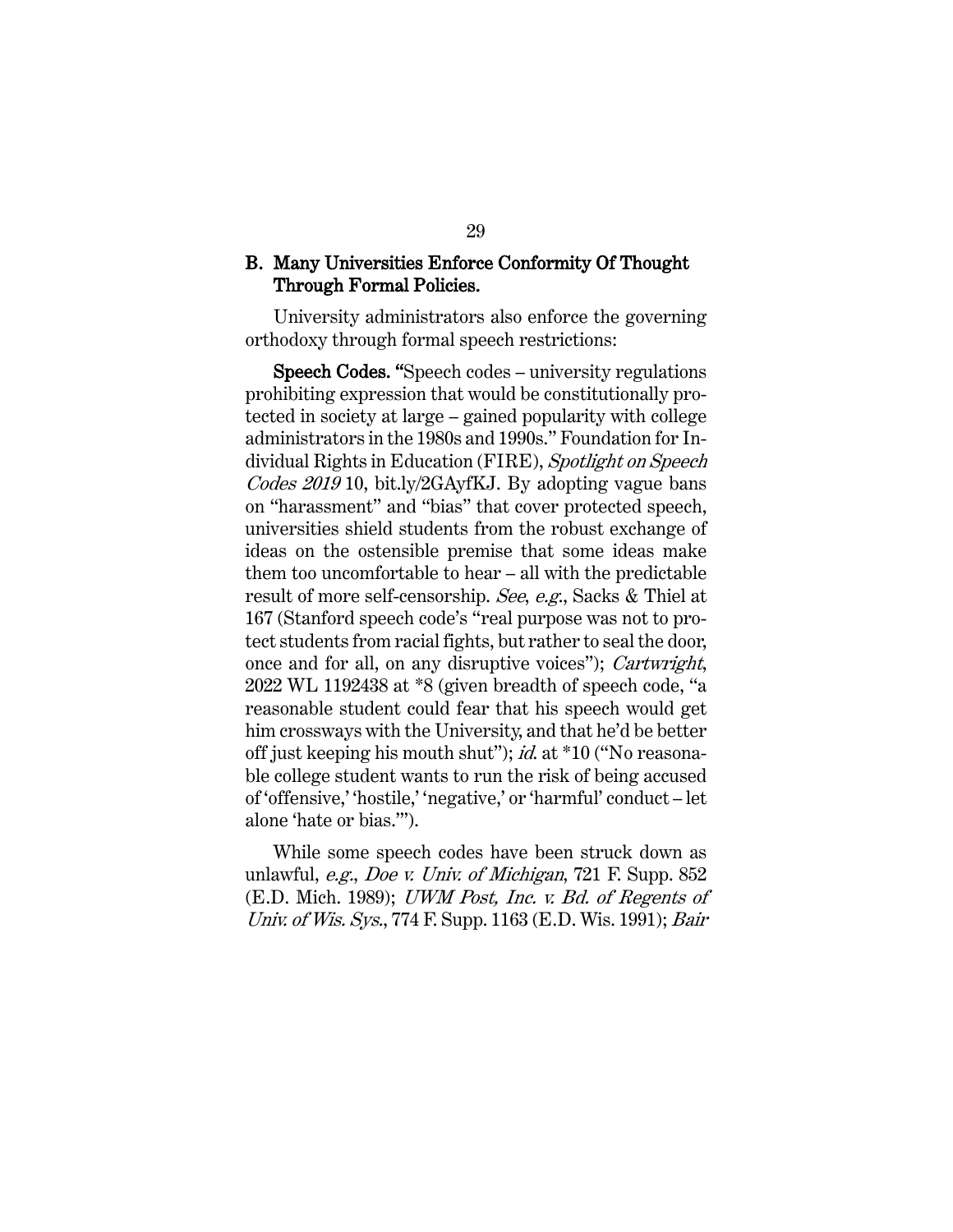#### B. Many Universities Enforce Conformity Of Thought Through Formal Policies.

University administrators also enforce the governing orthodoxy through formal speech restrictions:

 Speech Codes. "Speech codes – university regulations prohibiting expression that would be constitutionally protected in society at large – gained popularity with college administrators in the 1980s and 1990s." Foundation for Individual Rights in Education (FIRE), Spotlight on Speech Codes 2019 10, bit.ly/2GAyfKJ. By adopting vague bans on "harassment" and "bias" that cover protected speech, universities shield students from the robust exchange of ideas on the ostensible premise that some ideas make them too uncomfortable to hear – all with the predictable result of more self-censorship. See, e.g., Sacks & Thiel at 167 (Stanford speech code's "real purpose was not to protect students from racial fights, but rather to seal the door, once and for all, on any disruptive voices"); Cartwright, 2022 WL 1192438 at \*8 (given breadth of speech code, "a reasonable student could fear that his speech would get him crossways with the University, and that he'd be better off just keeping his mouth shut"); id. at \*10 ("No reasonable college student wants to run the risk of being accused of 'offensive,' 'hostile,' 'negative,' or 'harmful' conduct – let alone 'hate or bias.'").

While some speech codes have been struck down as unlawful, e.g., Doe v. Univ. of Michigan, 721 F. Supp. 852 (E.D. Mich. 1989); UWM Post, Inc. v. Bd. of Regents of Univ. of Wis. Sys., 774 F. Supp. 1163 (E.D. Wis. 1991); Bair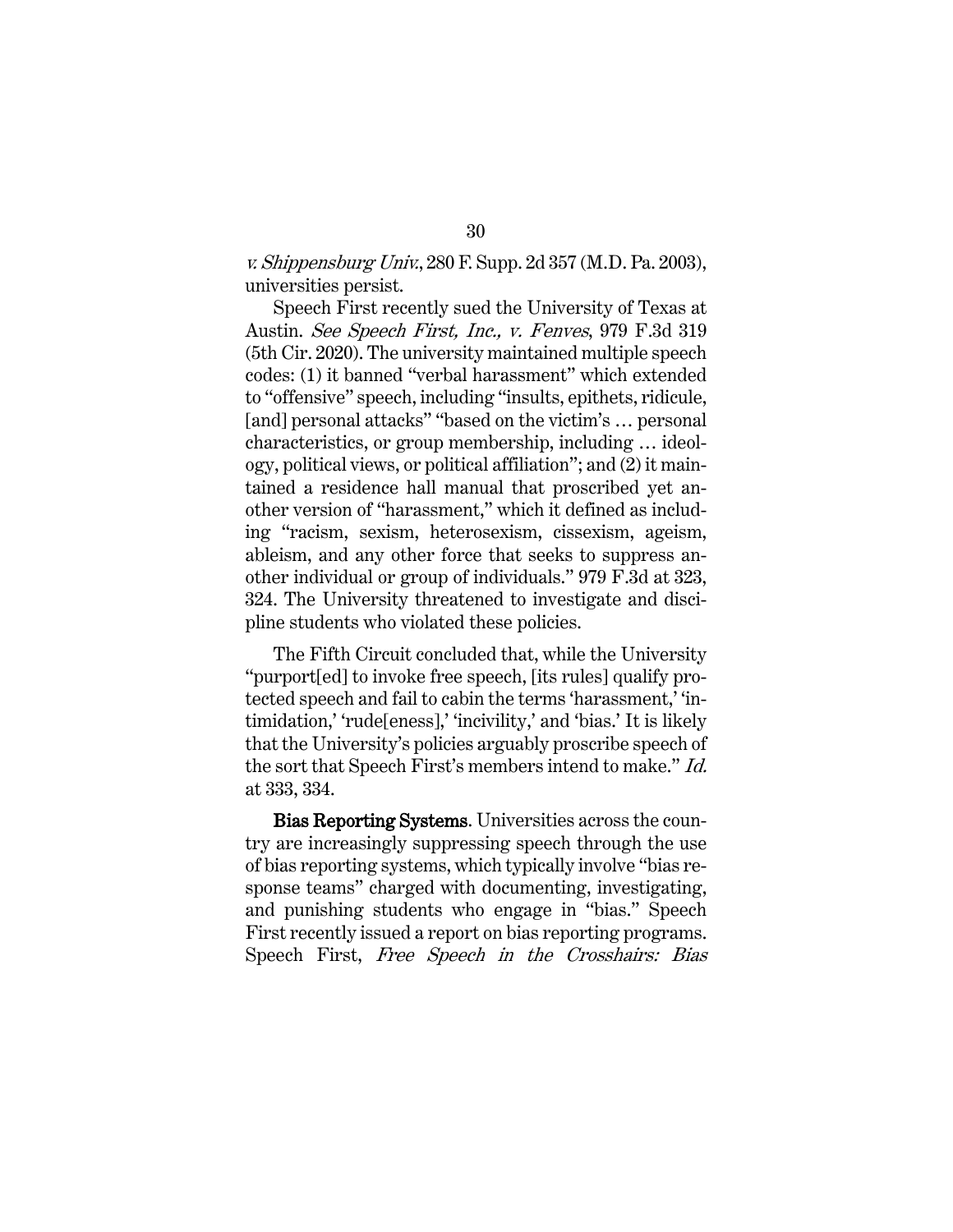v. Shippensburg Univ., 280 F. Supp. 2d 357 (M.D. Pa. 2003), universities persist.

Speech First recently sued the University of Texas at Austin. See Speech First, Inc., v. Fenves, 979 F.3d 319 (5th Cir. 2020). The university maintained multiple speech codes: (1) it banned "verbal harassment" which extended to "offensive" speech, including "insults, epithets, ridicule, [and] personal attacks" "based on the victim's ... personal characteristics, or group membership, including … ideology, political views, or political affiliation"; and (2) it maintained a residence hall manual that proscribed yet another version of "harassment," which it defined as including "racism, sexism, heterosexism, cissexism, ageism, ableism, and any other force that seeks to suppress another individual or group of individuals." 979 F.3d at 323, 324. The University threatened to investigate and discipline students who violated these policies.

The Fifth Circuit concluded that, while the University "purport[ed] to invoke free speech, [its rules] qualify protected speech and fail to cabin the terms 'harassment,' 'intimidation,' 'rude[eness],' 'incivility,' and 'bias.' It is likely that the University's policies arguably proscribe speech of the sort that Speech First's members intend to make." Id. at 333, 334.

 Bias Reporting Systems. Universities across the country are increasingly suppressing speech through the use of bias reporting systems, which typically involve "bias response teams" charged with documenting, investigating, and punishing students who engage in "bias." Speech First recently issued a report on bias reporting programs. Speech First, Free Speech in the Crosshairs: Bias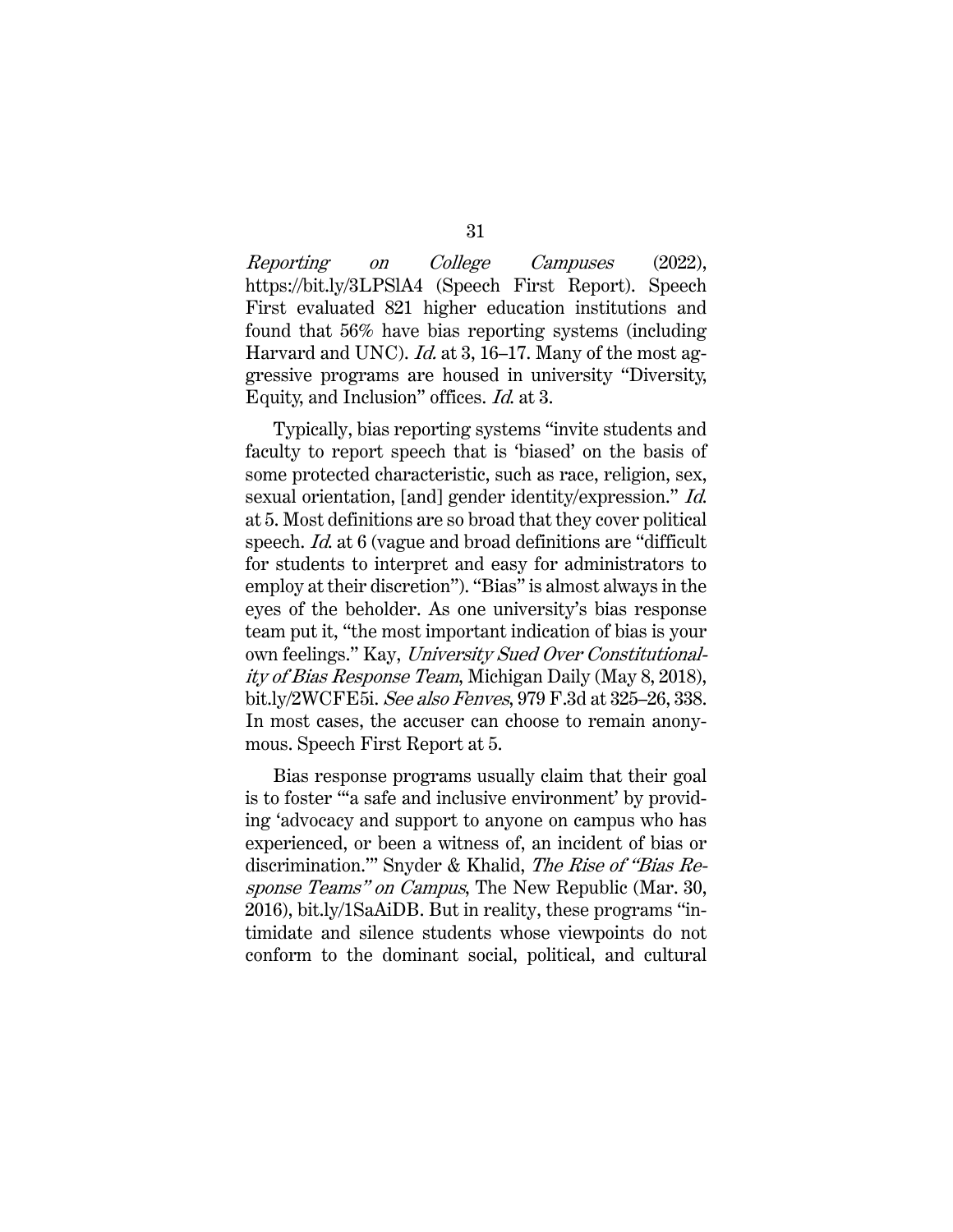Reporting on College Campuses (2022), https://bit.ly/3LPSlA4 (Speech First Report). Speech First evaluated 821 higher education institutions and found that 56% have bias reporting systems (including Harvard and UNC). *Id.* at 3, 16–17. Many of the most aggressive programs are housed in university "Diversity, Equity, and Inclusion" offices. Id. at 3.

Typically, bias reporting systems "invite students and faculty to report speech that is 'biased' on the basis of some protected characteristic, such as race, religion, sex, sexual orientation, [and] gender identity/expression." Id. at 5. Most definitions are so broad that they cover political speech. Id. at 6 (vague and broad definitions are "difficult for students to interpret and easy for administrators to employ at their discretion"). "Bias" is almost always in the eyes of the beholder. As one university's bias response team put it, "the most important indication of bias is your own feelings." Kay, University Sued Over Constitutionality of Bias Response Team, Michigan Daily (May 8, 2018), bit.ly/2WCFE5i. See also Fenves, 979 F.3d at 325–26, 338. In most cases, the accuser can choose to remain anonymous. Speech First Report at 5.

Bias response programs usually claim that their goal is to foster "'a safe and inclusive environment' by providing 'advocacy and support to anyone on campus who has experienced, or been a witness of, an incident of bias or discrimination.'" Snyder & Khalid, The Rise of "Bias Response Teams" on Campus, The New Republic (Mar. 30, 2016), bit.ly/1SaAiDB. But in reality, these programs "intimidate and silence students whose viewpoints do not conform to the dominant social, political, and cultural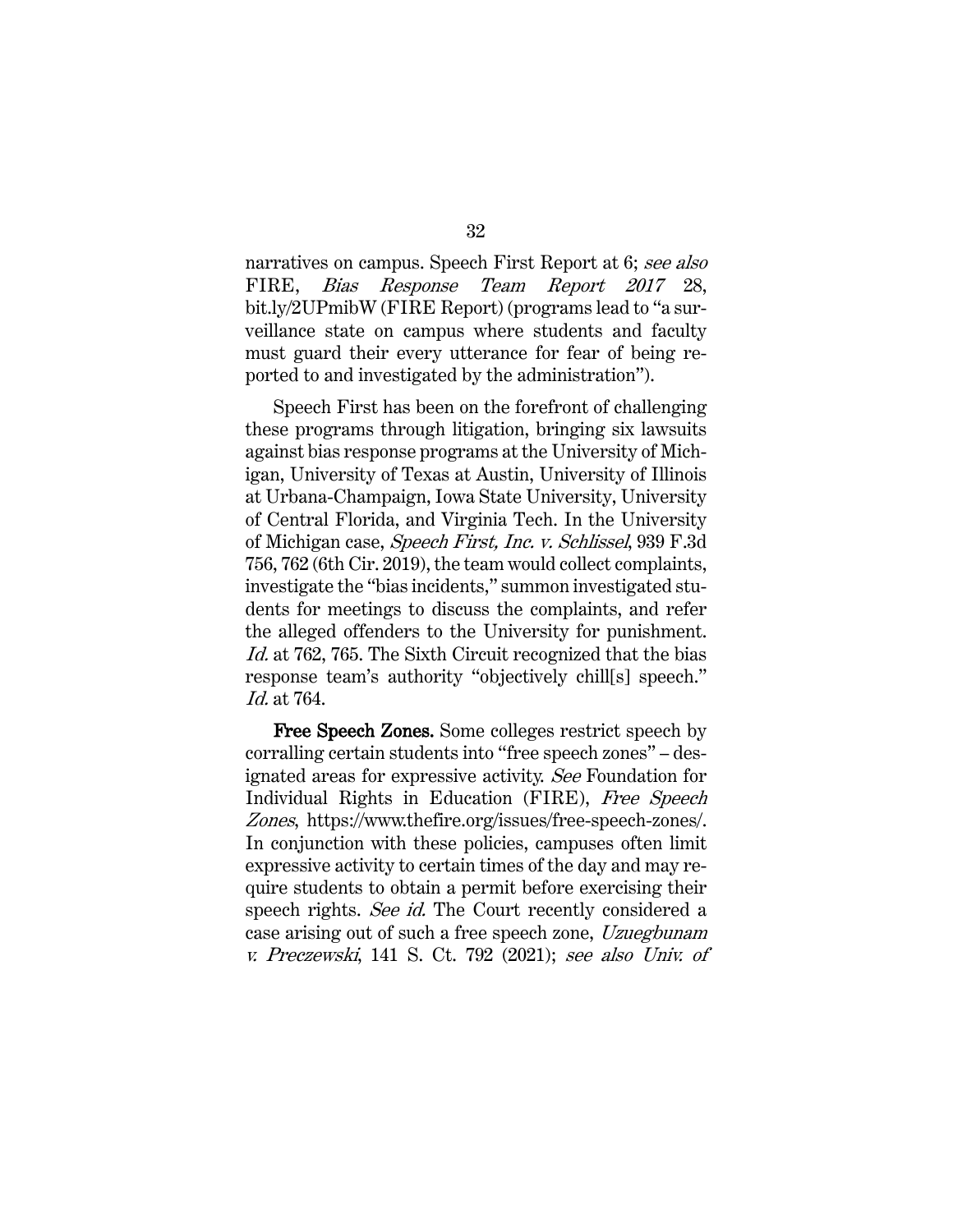narratives on campus. Speech First Report at 6; see also FIRE, Bias Response Team Report 2017 28, bit.ly/2UPmibW (FIRE Report) (programs lead to "a surveillance state on campus where students and faculty must guard their every utterance for fear of being reported to and investigated by the administration").

Speech First has been on the forefront of challenging these programs through litigation, bringing six lawsuits against bias response programs at the University of Michigan, University of Texas at Austin, University of Illinois at Urbana-Champaign, Iowa State University, University of Central Florida, and Virginia Tech. In the University of Michigan case, Speech First, Inc. v. Schlissel, 939 F.3d 756, 762 (6th Cir. 2019), the team would collect complaints, investigate the "bias incidents," summon investigated students for meetings to discuss the complaints, and refer the alleged offenders to the University for punishment. Id. at 762, 765. The Sixth Circuit recognized that the bias response team's authority "objectively chill[s] speech." Id. at 764.

Free Speech Zones. Some colleges restrict speech by corralling certain students into "free speech zones" – designated areas for expressive activity. See Foundation for Individual Rights in Education (FIRE), Free Speech Zones, https://www.thefire.org/issues/free-speech-zones/. In conjunction with these policies, campuses often limit expressive activity to certain times of the day and may require students to obtain a permit before exercising their speech rights. See id. The Court recently considered a case arising out of such a free speech zone, Uzuegbunam v. Preczewski, 141 S. Ct. 792 (2021); see also Univ. of